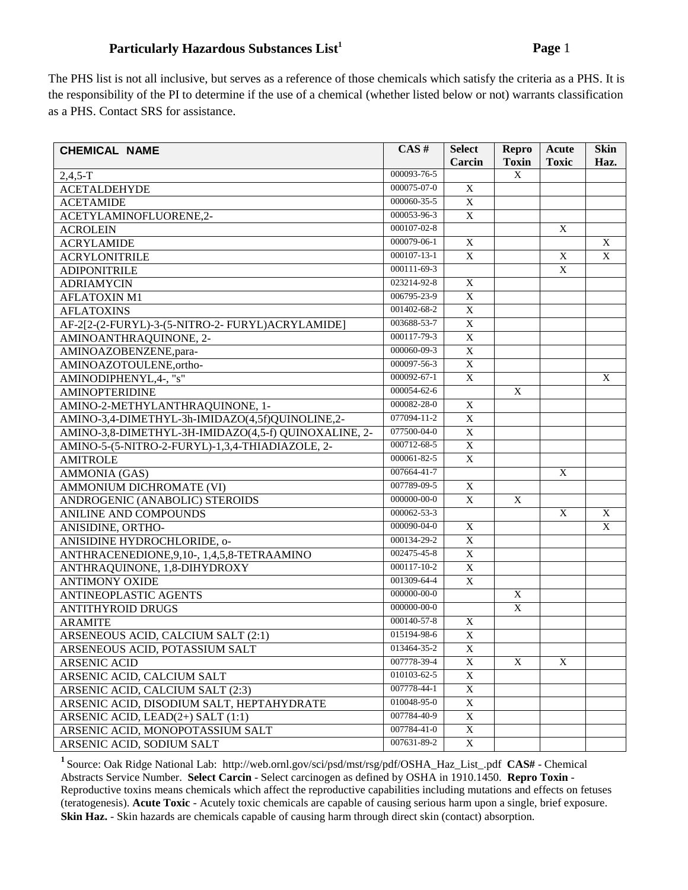## **Particularly Hazardous Substances List<sup>1</sup> <b>Page 1 Page 1**

The PHS list is not all inclusive, but serves as a reference of those chemicals which satisfy the criteria as a PHS. It is the responsibility of the PI to determine if the use of a chemical (whether listed below or not) warrants classification as a PHS. Contact SRS for assistance.

| <b>CHEMICAL NAME</b>                                 | CAS#              | <b>Select</b><br>Carcin | Repro<br><b>Toxin</b>     | Acute<br><b>Toxic</b> | <b>Skin</b><br>Haz. |
|------------------------------------------------------|-------------------|-------------------------|---------------------------|-----------------------|---------------------|
| $2,4,5-T$                                            | 000093-76-5       |                         | X                         |                       |                     |
| <b>ACETALDEHYDE</b>                                  | 000075-07-0       | X                       |                           |                       |                     |
| <b>ACETAMIDE</b>                                     | 000060-35-5       | $\overline{X}$          |                           |                       |                     |
| ACETYLAMINOFLUORENE,2-                               | 000053-96-3       | $\mathbf X$             |                           |                       |                     |
| <b>ACROLEIN</b>                                      | 000107-02-8       |                         |                           | X                     |                     |
| <b>ACRYLAMIDE</b>                                    | 000079-06-1       | $\mathbf X$             |                           |                       | X                   |
| <b>ACRYLONITRILE</b>                                 | 000107-13-1       | X                       |                           | X                     | X                   |
| <b>ADIPONITRILE</b>                                  | 000111-69-3       |                         |                           | X                     |                     |
| <b>ADRIAMYCIN</b>                                    | 023214-92-8       | X                       |                           |                       |                     |
| <b>AFLATOXIN M1</b>                                  | 006795-23-9       | X                       |                           |                       |                     |
| <b>AFLATOXINS</b>                                    | 001402-68-2       | $\overline{X}$          |                           |                       |                     |
| AF-2[2-(2-FURYL)-3-(5-NITRO-2- FURYL)ACRYLAMIDE]     | 003688-53-7       | $\overline{X}$          |                           |                       |                     |
| AMINOANTHRAQUINONE, 2-                               | 000117-79-3       | $\mathbf X$             |                           |                       |                     |
| AMINOAZOBENZENE, para-                               | 000060-09-3       | $\overline{X}$          |                           |                       |                     |
| AMINOAZOTOULENE,ortho-                               | 000097-56-3       | $\overline{X}$          |                           |                       |                     |
| AMINODIPHENYL, 4-, "s"                               | 000092-67-1       | $\overline{X}$          |                           |                       | X                   |
| <b>AMINOPTERIDINE</b>                                | 000054-62-6       |                         | $\mathbf X$               |                       |                     |
| AMINO-2-METHYLANTHRAQUINONE, 1-                      | 000082-28-0       | $\overline{X}$          |                           |                       |                     |
| AMINO-3,4-DIMETHYL-3h-IMIDAZO(4,5f)QUINOLINE,2-      | 077094-11-2       | X                       |                           |                       |                     |
| AMINO-3,8-DIMETHYL-3H-IMIDAZO(4,5-f) QUINOXALINE, 2- | 077500-04-0       | $\overline{X}$          |                           |                       |                     |
| AMINO-5-(5-NITRO-2-FURYL)-1,3,4-THIADIAZOLE, 2-      | 000712-68-5       | $\overline{X}$          |                           |                       |                     |
| <b>AMITROLE</b>                                      | 000061-82-5       | $\overline{X}$          |                           |                       |                     |
| AMMONIA (GAS)                                        | 007664-41-7       |                         |                           | $\mathbf X$           |                     |
| AMMONIUM DICHROMATE (VI)                             | 007789-09-5       | $\mathbf X$             |                           |                       |                     |
| ANDROGENIC (ANABOLIC) STEROIDS                       | $000000 - 00 - 0$ | $\overline{X}$          | X                         |                       |                     |
| <b>ANILINE AND COMPOUNDS</b>                         | 000062-53-3       |                         |                           | X                     | X                   |
| ANISIDINE, ORTHO-                                    | $000090 - 04 - 0$ | X                       |                           |                       | X                   |
| ANISIDINE HYDROCHLORIDE, o-                          | 000134-29-2       | $\overline{X}$          |                           |                       |                     |
| ANTHRACENEDIONE, 9, 10-, 1, 4, 5, 8-TETRAAMINO       | 002475-45-8       | $\overline{X}$          |                           |                       |                     |
| ANTHRAQUINONE, 1,8-DIHYDROXY                         | 000117-10-2       | $\overline{X}$          |                           |                       |                     |
| <b>ANTIMONY OXIDE</b>                                | 001309-64-4       | $\overline{X}$          |                           |                       |                     |
| ANTINEOPLASTIC AGENTS                                | $000000 - 00 - 0$ |                         | $\overline{X}$            |                       |                     |
| <b>ANTITHYROID DRUGS</b>                             | 000000-00-0       |                         | $\overline{X}$            |                       |                     |
| <b>ARAMITE</b>                                       | 000140-57-8       | $\overline{X}$          |                           |                       |                     |
| ARSENEOUS ACID, CALCIUM SALT (2:1)                   | 015194-98-6       | $\overline{X}$          |                           |                       |                     |
| ARSENEOUS ACID, POTASSIUM SALT                       | 013464-35-2       | X                       |                           |                       |                     |
| <b>ARSENIC ACID</b>                                  | 007778-39-4       | $\mathbf X$             | $\boldsymbol{\mathrm{X}}$ | X                     |                     |
| ARSENIC ACID, CALCIUM SALT                           | 010103-62-5       | $\mathbf X$             |                           |                       |                     |
| ARSENIC ACID, CALCIUM SALT (2:3)                     | 007778-44-1       | X                       |                           |                       |                     |
| ARSENIC ACID, DISODIUM SALT, HEPTAHYDRATE            | 010048-95-0       | $\overline{X}$          |                           |                       |                     |
| ARSENIC ACID, LEAD(2+) SALT (1:1)                    | 007784-40-9       | X                       |                           |                       |                     |
| ARSENIC ACID, MONOPOTASSIUM SALT                     | 007784-41-0       | $\mathbf X$             |                           |                       |                     |
| ARSENIC ACID, SODIUM SALT                            | 007631-89-2       | $\overline{X}$          |                           |                       |                     |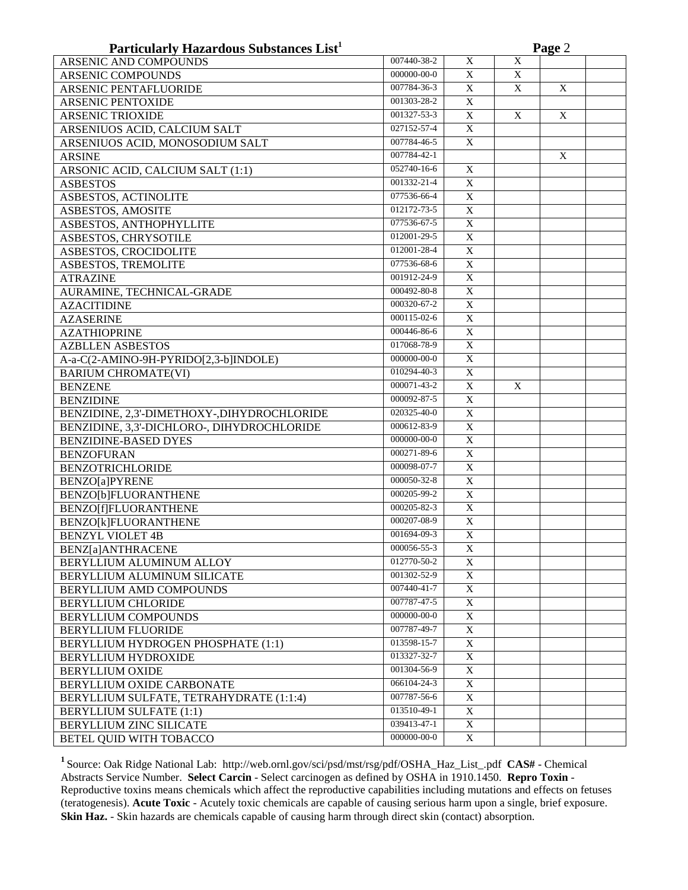| Particularly Hazardous Substances List <sup>1</sup> |                   |                | Page 2 |   |  |  |  |  |
|-----------------------------------------------------|-------------------|----------------|--------|---|--|--|--|--|
| <b>ARSENIC AND COMPOUNDS</b>                        | 007440-38-2       | $\mathbf X$    | X      |   |  |  |  |  |
| <b>ARSENIC COMPOUNDS</b>                            | 000000-00-0       | X              | X      |   |  |  |  |  |
| ARSENIC PENTAFLUORIDE                               | 007784-36-3       | X              | X      | X |  |  |  |  |
| <b>ARSENIC PENTOXIDE</b>                            | 001303-28-2       | X              |        |   |  |  |  |  |
| <b>ARSENIC TRIOXIDE</b>                             | 001327-53-3       | X              | X      | X |  |  |  |  |
| ARSENIUOS ACID, CALCIUM SALT                        | 027152-57-4       | $\overline{X}$ |        |   |  |  |  |  |
| ARSENIUOS ACID, MONOSODIUM SALT                     | 007784-46-5       | $\overline{X}$ |        |   |  |  |  |  |
| <b>ARSINE</b>                                       | 007784-42-1       |                |        | X |  |  |  |  |
| ARSONIC ACID, CALCIUM SALT (1:1)                    | 052740-16-6       | X              |        |   |  |  |  |  |
| <b>ASBESTOS</b>                                     | 001332-21-4       | X              |        |   |  |  |  |  |
| ASBESTOS, ACTINOLITE                                | 077536-66-4       | X              |        |   |  |  |  |  |
| ASBESTOS, AMOSITE                                   | 012172-73-5       | X              |        |   |  |  |  |  |
| ASBESTOS, ANTHOPHYLLITE                             | 077536-67-5       | $\mathbf X$    |        |   |  |  |  |  |
| ASBESTOS, CHRYSOTILE                                | 012001-29-5       | $\overline{X}$ |        |   |  |  |  |  |
| ASBESTOS, CROCIDOLITE                               | 012001-28-4       | $\overline{X}$ |        |   |  |  |  |  |
| ASBESTOS, TREMOLITE                                 | 077536-68-6       | X              |        |   |  |  |  |  |
| <b>ATRAZINE</b>                                     | 001912-24-9       | X              |        |   |  |  |  |  |
| AURAMINE, TECHNICAL-GRADE                           | 000492-80-8       | X              |        |   |  |  |  |  |
| <b>AZACITIDINE</b>                                  | 000320-67-2       | X              |        |   |  |  |  |  |
| <b>AZASERINE</b>                                    | 000115-02-6       | X              |        |   |  |  |  |  |
| <b>AZATHIOPRINE</b>                                 | 000446-86-6       | $\overline{X}$ |        |   |  |  |  |  |
| <b>AZBLLEN ASBESTOS</b>                             | 017068-78-9       | $\mathbf X$    |        |   |  |  |  |  |
| A-a-C(2-AMINO-9H-PYRIDO[2,3-b]INDOLE)               | 000000-00-0       | $\mathbf X$    |        |   |  |  |  |  |
| <b>BARIUM CHROMATE(VI)</b>                          | 010294-40-3       | X              |        |   |  |  |  |  |
| <b>BENZENE</b>                                      | 000071-43-2       | X              | X      |   |  |  |  |  |
| <b>BENZIDINE</b>                                    | 000092-87-5       | X              |        |   |  |  |  |  |
| BENZIDINE, 2,3'-DIMETHOXY-,DIHYDROCHLORIDE          | 020325-40-0       | $\mathbf X$    |        |   |  |  |  |  |
| BENZIDINE, 3,3'-DICHLORO-, DIHYDROCHLORIDE          | 000612-83-9       | $\overline{X}$ |        |   |  |  |  |  |
| <b>BENZIDINE-BASED DYES</b>                         | 000000-00-0       | $\overline{X}$ |        |   |  |  |  |  |
| <b>BENZOFURAN</b>                                   | 000271-89-6       | $\overline{X}$ |        |   |  |  |  |  |
| <b>BENZOTRICHLORIDE</b>                             | 000098-07-7       | $\overline{X}$ |        |   |  |  |  |  |
| <b>BENZO[a]PYRENE</b>                               | 000050-32-8       | $\overline{X}$ |        |   |  |  |  |  |
| BENZO[b]FLUORANTHENE                                | $000205 - 99 - 2$ | $\overline{X}$ |        |   |  |  |  |  |
| <b>BENZO[f]FLUORANTHENE</b>                         | 000205-82-3       | $\overline{X}$ |        |   |  |  |  |  |
| BENZO[k]FLUORANTHENE                                | 000207-08-9       | X              |        |   |  |  |  |  |
| <b>BENZYL VIOLET 4B</b>                             | 001694-09-3       | $\overline{X}$ |        |   |  |  |  |  |
| BENZ[a]ANTHRACENE                                   | 000056-55-3       | X              |        |   |  |  |  |  |
| BERYLLIUM ALUMINUM ALLOY                            | 012770-50-2       | X              |        |   |  |  |  |  |
| BERYLLIUM ALUMINUM SILICATE                         | 001302-52-9       | X              |        |   |  |  |  |  |
| BERYLLIUM AMD COMPOUNDS                             | 007440-41-7       | $\overline{X}$ |        |   |  |  |  |  |
| <b>BERYLLIUM CHLORIDE</b>                           | 007787-47-5       | X              |        |   |  |  |  |  |
| <b>BERYLLIUM COMPOUNDS</b>                          | $000000-00-0$     | X              |        |   |  |  |  |  |
| <b>BERYLLIUM FLUORIDE</b>                           | 007787-49-7       | X              |        |   |  |  |  |  |
| BERYLLIUM HYDROGEN PHOSPHATE (1:1)                  | 013598-15-7       | X              |        |   |  |  |  |  |
| BERYLLIUM HYDROXIDE                                 | 013327-32-7       | X              |        |   |  |  |  |  |
| <b>BERYLLIUM OXIDE</b>                              | 001304-56-9       | X              |        |   |  |  |  |  |
| BERYLLIUM OXIDE CARBONATE                           | 066104-24-3       | X              |        |   |  |  |  |  |
| BERYLLIUM SULFATE, TETRAHYDRATE (1:1:4)             | 007787-56-6       | X              |        |   |  |  |  |  |
| <b>BERYLLIUM SULFATE (1:1)</b>                      | 013510-49-1       | X              |        |   |  |  |  |  |
| BERYLLIUM ZINC SILICATE                             | 039413-47-1       | X              |        |   |  |  |  |  |
| BETEL QUID WITH TOBACCO                             | 000000-00-0       | X              |        |   |  |  |  |  |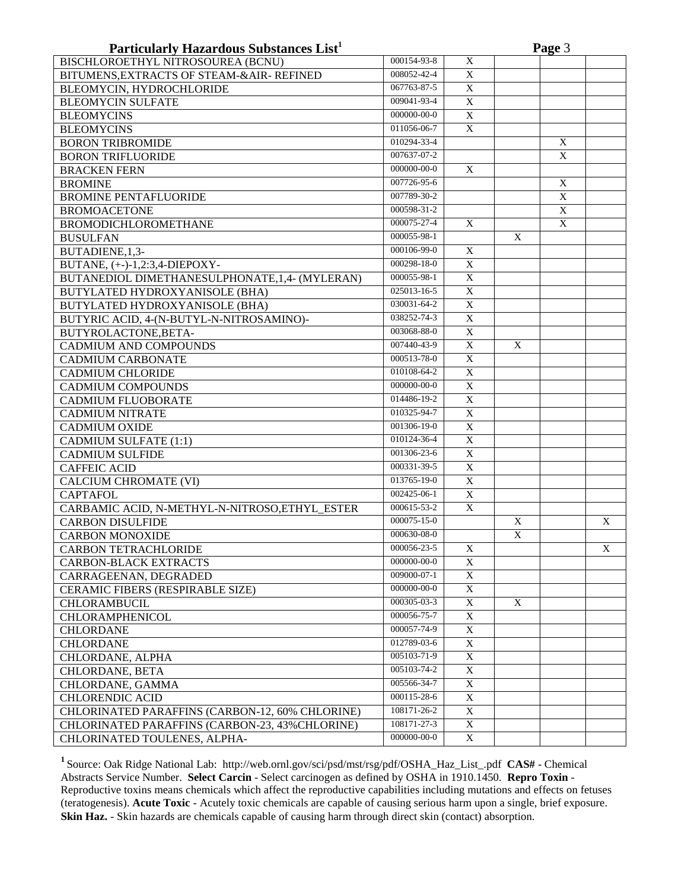| Particularly Hazardous Substances List <sup>1</sup> |                   |                         | Page 3       |              |   |  |  |  |
|-----------------------------------------------------|-------------------|-------------------------|--------------|--------------|---|--|--|--|
| BISCHLOROETHYL NITROSOUREA (BCNU)                   | 000154-93-8       | $\mathbf X$             |              |              |   |  |  |  |
| BITUMENS, EXTRACTS OF STEAM-&AIR-REFINED            | 008052-42-4       | $\overline{X}$          |              |              |   |  |  |  |
| BLEOMYCIN, HYDROCHLORIDE                            | 067763-87-5       | $\mathbf X$             |              |              |   |  |  |  |
| <b>BLEOMYCIN SULFATE</b>                            | 009041-93-4       | $\mathbf X$             |              |              |   |  |  |  |
| <b>BLEOMYCINS</b>                                   | 000000-00-0       | $\mathbf X$             |              |              |   |  |  |  |
| <b>BLEOMYCINS</b>                                   | $011056 - 06 - 7$ | X                       |              |              |   |  |  |  |
| <b>BORON TRIBROMIDE</b>                             | 010294-33-4       |                         |              | X            |   |  |  |  |
| <b>BORON TRIFLUORIDE</b>                            | $007637 - 07 - 2$ |                         |              | X            |   |  |  |  |
| <b>BRACKEN FERN</b>                                 | 000000-00-0       | X                       |              |              |   |  |  |  |
| <b>BROMINE</b>                                      | 007726-95-6       |                         |              | $\mathbf{X}$ |   |  |  |  |
| <b>BROMINE PENTAFLUORIDE</b>                        | 007789-30-2       |                         |              | $\mathbf X$  |   |  |  |  |
| <b>BROMOACETONE</b>                                 | 000598-31-2       |                         |              | $\mathbf X$  |   |  |  |  |
| <b>BROMODICHLOROMETHANE</b>                         | 000075-27-4       | X                       |              | $\mathbf X$  |   |  |  |  |
| <b>BUSULFAN</b>                                     | 000055-98-1       |                         | X            |              |   |  |  |  |
| BUTADIENE, 1,3-                                     | 000106-99-0       | X                       |              |              |   |  |  |  |
| BUTANE, (+-)-1,2:3,4-DIEPOXY-                       | $000298 - 18 - 0$ | $\mathbf X$             |              |              |   |  |  |  |
| BUTANEDIOL DIMETHANESULPHONATE, 1,4- (MYLERAN)      | 000055-98-1       | $\mathbf X$             |              |              |   |  |  |  |
| BUTYLATED HYDROXYANISOLE (BHA)                      | 025013-16-5       | $\mathbf X$             |              |              |   |  |  |  |
| BUTYLATED HYDROXYANISOLE (BHA)                      | $030031 - 64 - 2$ | $\overline{X}$          |              |              |   |  |  |  |
| BUTYRIC ACID, 4-(N-BUTYL-N-NITROSAMINO)-            | 038252-74-3       | $\overline{\textbf{X}}$ |              |              |   |  |  |  |
| BUTYROLACTONE, BETA-                                | 003068-88-0       | $\overline{\textbf{X}}$ |              |              |   |  |  |  |
| CADMIUM AND COMPOUNDS                               | 007440-43-9       | $\overline{X}$          | X            |              |   |  |  |  |
| <b>CADMIUM CARBONATE</b>                            | 000513-78-0       | X                       |              |              |   |  |  |  |
| <b>CADMIUM CHLORIDE</b>                             | 010108-64-2       | $\overline{X}$          |              |              |   |  |  |  |
| <b>CADMIUM COMPOUNDS</b>                            | 000000-00-0       | $\overline{X}$          |              |              |   |  |  |  |
| <b>CADMIUM FLUOBORATE</b>                           | 014486-19-2       | $\overline{X}$          |              |              |   |  |  |  |
| <b>CADMIUM NITRATE</b>                              | 010325-94-7       | $\overline{X}$          |              |              |   |  |  |  |
| <b>CADMIUM OXIDE</b>                                | 001306-19-0       | $\overline{X}$          |              |              |   |  |  |  |
| <b>CADMIUM SULFATE (1:1)</b>                        | 010124-36-4       | $\overline{X}$          |              |              |   |  |  |  |
| <b>CADMIUM SULFIDE</b>                              | 001306-23-6       | $\overline{X}$          |              |              |   |  |  |  |
| <b>CAFFEIC ACID</b>                                 | 000331-39-5       | $\overline{X}$          |              |              |   |  |  |  |
| <b>CALCIUM CHROMATE (VI)</b>                        | 013765-19-0       | $\overline{X}$          |              |              |   |  |  |  |
| <b>CAPTAFOL</b>                                     | 002425-06-1       | $\overline{X}$          |              |              |   |  |  |  |
| CARBAMIC ACID, N-METHYL-N-NITROSO,ETHYL_ESTER       | 000615-53-2       | $\overline{X}$          |              |              |   |  |  |  |
| <b>CARBON DISULFIDE</b>                             | 000075-15-0       |                         | $\mathbf X$  |              | X |  |  |  |
| <b>CARBON MONOXIDE</b>                              | 000630-08-0       |                         | $\mathbf X$  |              |   |  |  |  |
| <b>CARBON TETRACHLORIDE</b>                         | 000056-23-5       | X                       |              |              | X |  |  |  |
| <b>CARBON-BLACK EXTRACTS</b>                        | 000000-00-0       | X                       |              |              |   |  |  |  |
| CARRAGEENAN, DEGRADED                               | 009000-07-1       | $\mathbf X$             |              |              |   |  |  |  |
| CERAMIC FIBERS (RESPIRABLE SIZE)                    | 000000-00-0       | $\mathbf X$             |              |              |   |  |  |  |
| <b>CHLORAMBUCIL</b>                                 | 000305-03-3       | $\overline{X}$          | $\mathbf{X}$ |              |   |  |  |  |
| <b>CHLORAMPHENICOL</b>                              | 000056-75-7       | X                       |              |              |   |  |  |  |
| <b>CHLORDANE</b>                                    | 000057-74-9       | X                       |              |              |   |  |  |  |
| <b>CHLORDANE</b>                                    | 012789-03-6       | X                       |              |              |   |  |  |  |
| CHLORDANE, ALPHA                                    | 005103-71-9       | X                       |              |              |   |  |  |  |
| CHLORDANE, BETA                                     | 005103-74-2       | X                       |              |              |   |  |  |  |
| CHLORDANE, GAMMA                                    | 005566-34-7       | X                       |              |              |   |  |  |  |
| <b>CHLORENDIC ACID</b>                              | 000115-28-6       | X                       |              |              |   |  |  |  |
| CHLORINATED PARAFFINS (CARBON-12, 60% CHLORINE)     | 108171-26-2       | X                       |              |              |   |  |  |  |
| CHLORINATED PARAFFINS (CARBON-23, 43%CHLORINE)      | 108171-27-3       | X                       |              |              |   |  |  |  |
| CHLORINATED TOULENES, ALPHA-                        | 000000-00-0       | X                       |              |              |   |  |  |  |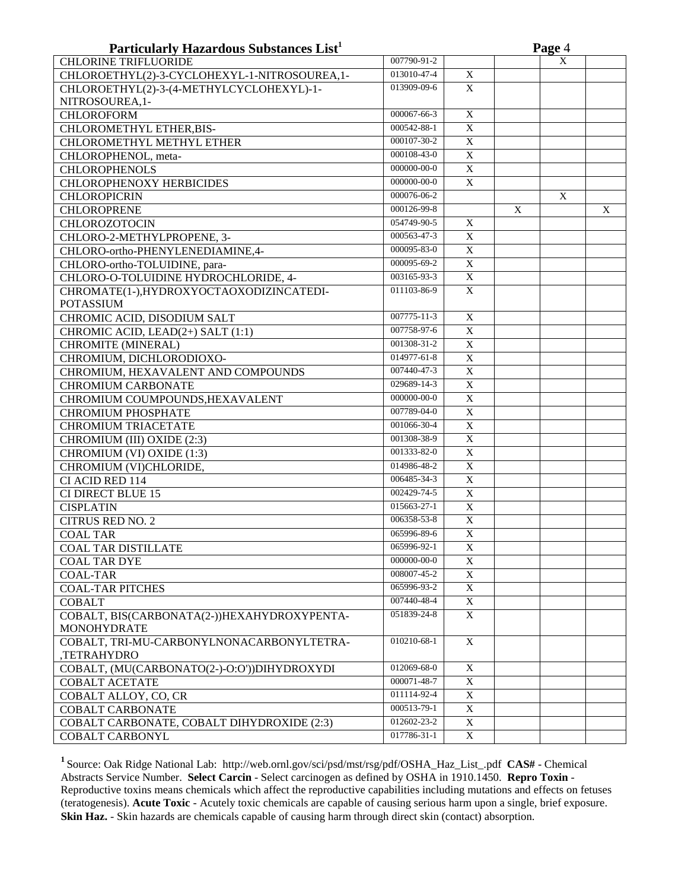| Particularly Hazardous Substances List <sup>1</sup> |                   |                       |   | Page 4 |   |
|-----------------------------------------------------|-------------------|-----------------------|---|--------|---|
| <b>CHLORINE TRIFLUORIDE</b>                         | 007790-91-2       |                       |   | X      |   |
| CHLOROETHYL(2)-3-CYCLOHEXYL-1-NITROSOUREA,1-        | 013010-47-4       | X                     |   |        |   |
| CHLOROETHYL(2)-3-(4-METHYLCYCLOHEXYL)-1-            | 013909-09-6       | $\mathbf X$           |   |        |   |
| NITROSOUREA, 1-                                     |                   |                       |   |        |   |
| <b>CHLOROFORM</b>                                   | 000067-66-3       | $\overline{X}$        |   |        |   |
| CHLOROMETHYL ETHER, BIS-                            | 000542-88-1       | $\overline{\text{X}}$ |   |        |   |
| CHLOROMETHYL METHYL ETHER                           | 000107-30-2       | $\overline{X}$        |   |        |   |
| CHLOROPHENOL, meta-                                 | 000108-43-0       | $\overline{X}$        |   |        |   |
| <b>CHLOROPHENOLS</b>                                | 000000-00-0       | $\overline{X}$        |   |        |   |
| <b>CHLOROPHENOXY HERBICIDES</b>                     | 000000-00-0       | $\mathbf X$           |   |        |   |
| <b>CHLOROPICRIN</b>                                 | 000076-06-2       |                       |   | X      |   |
| <b>CHLOROPRENE</b>                                  | 000126-99-8       |                       | X |        | X |
| <b>CHLOROZOTOCIN</b>                                | 054749-90-5       | X                     |   |        |   |
| CHLORO-2-METHYLPROPENE, 3-                          | 000563-47-3       | $\mathbf X$           |   |        |   |
| CHLORO-ortho-PHENYLENEDIAMINE,4-                    | 000095-83-0       | $\overline{X}$        |   |        |   |
| CHLORO-ortho-TOLUIDINE, para-                       | 000095-69-2       | $\mathbf X$           |   |        |   |
| CHLORO-O-TOLUIDINE HYDROCHLORIDE, 4-                | 003165-93-3       | $\overline{X}$        |   |        |   |
| CHROMATE(1-), HYDROXYOCTAOXODIZINCATEDI-            | 011103-86-9       | X                     |   |        |   |
| <b>POTASSIUM</b>                                    |                   |                       |   |        |   |
| CHROMIC ACID, DISODIUM SALT                         | 007775-11-3       | $\overline{X}$        |   |        |   |
| CHROMIC ACID, LEAD(2+) SALT (1:1)                   | 007758-97-6       | $\overline{X}$        |   |        |   |
| CHROMITE (MINERAL)                                  | $001308 - 31 - 2$ | $\overline{X}$        |   |        |   |
| CHROMIUM, DICHLORODIOXO-                            | 014977-61-8       | $\mathbf X$           |   |        |   |
| CHROMIUM, HEXAVALENT AND COMPOUNDS                  | 007440-47-3       | $\mathbf X$           |   |        |   |
| <b>CHROMIUM CARBONATE</b>                           | 029689-14-3       | $\overline{X}$        |   |        |   |
| CHROMIUM COUMPOUNDS, HEXAVALENT                     | 000000-00-0       | $\overline{X}$        |   |        |   |
| <b>CHROMIUM PHOSPHATE</b>                           | 007789-04-0       | $\overline{X}$        |   |        |   |
| <b>CHROMIUM TRIACETATE</b>                          | 001066-30-4       | $\overline{X}$        |   |        |   |
| CHROMIUM (III) OXIDE (2:3)                          | 001308-38-9       | $\overline{X}$        |   |        |   |
| CHROMIUM (VI) OXIDE (1:3)                           | 001333-82-0       | $\overline{X}$        |   |        |   |
| CHROMIUM (VI)CHLORIDE,                              | 014986-48-2       | $\mathbf X$           |   |        |   |
| CI ACID RED 114                                     | 006485-34-3       | $\overline{X}$        |   |        |   |
| <b>CI DIRECT BLUE 15</b>                            | 002429-74-5       | $\overline{X}$        |   |        |   |
| <b>CISPLATIN</b>                                    | 015663-27-1       | $\mathbf X$           |   |        |   |
| <b>CITRUS RED NO. 2</b>                             | 006358-53-8       | $\mathbf X$           |   |        |   |
| <b>COAL TAR</b>                                     | 065996-89-6       | $\mathbf X$           |   |        |   |
| <b>COAL TAR DISTILLATE</b>                          | 065996-92-1       | Χ                     |   |        |   |
| <b>COAL TAR DYE</b>                                 | 000000-00-0       | X                     |   |        |   |
| <b>COAL-TAR</b>                                     | 008007-45-2       | $\mathbf X$           |   |        |   |
| <b>COAL-TAR PITCHES</b>                             | 065996-93-2       | $\mathbf X$           |   |        |   |
| <b>COBALT</b>                                       | 007440-48-4       | $\mathbf X$           |   |        |   |
| COBALT, BIS(CARBONATA(2-))HEXAHYDROXYPENTA-         | 051839-24-8       | X                     |   |        |   |
| <b>MONOHYDRATE</b>                                  |                   |                       |   |        |   |
| COBALT, TRI-MU-CARBONYLNONACARBONYLTETRA-           | 010210-68-1       | X                     |   |        |   |
| ,TETRAHYDRO                                         |                   |                       |   |        |   |
| COBALT, (MU(CARBONATO(2-)-O:O'))DIHYDROXYDI         | 012069-68-0       | X                     |   |        |   |
| <b>COBALT ACETATE</b>                               | 000071-48-7       | X                     |   |        |   |
| COBALT ALLOY, CO, CR                                | 011114-92-4       | X                     |   |        |   |
| <b>COBALT CARBONATE</b>                             | 000513-79-1       | X                     |   |        |   |
| COBALT CARBONATE, COBALT DIHYDROXIDE (2:3)          | 012602-23-2       | X                     |   |        |   |
| <b>COBALT CARBONYL</b>                              | 017786-31-1       | X                     |   |        |   |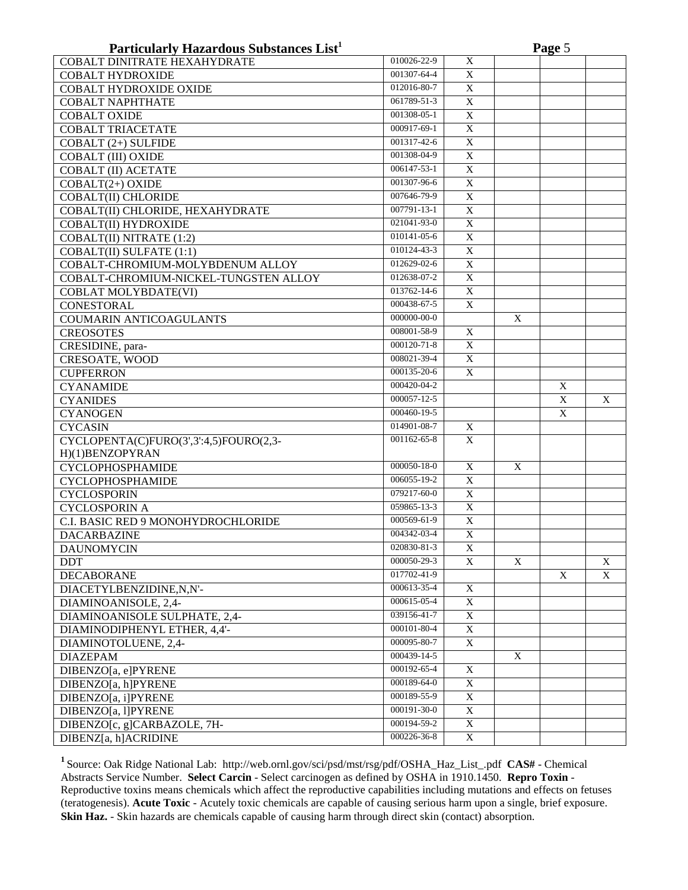| 010026-22-9<br>X<br>COBALT DINITRATE HEXAHYDRATE<br>001307-64-4<br>X<br><b>COBALT HYDROXIDE</b><br>012016-80-7<br>$\mathbf X$<br><b>COBALT HYDROXIDE OXIDE</b><br>061789-51-3<br>$\mathbf X$<br><b>COBALT NAPHTHATE</b><br>$\overline{X}$<br>001308-05-1<br><b>COBALT OXIDE</b><br>000917-69-1<br>$\mathbf X$<br><b>COBALT TRIACETATE</b><br>001317-42-6<br>$\mathbf X$<br>COBALT (2+) SULFIDE<br>001308-04-9<br>$\mathbf X$<br><b>COBALT (III) OXIDE</b><br>006147-53-1<br>$\mathbf X$<br><b>COBALT (II) ACETATE</b><br>001307-96-6<br>$\overline{X}$<br>COBALT(2+) OXIDE<br>007646-79-9<br>$\overline{X}$<br><b>COBALT(II)</b> CHLORIDE<br>007791-13-1<br>$\overline{X}$<br>COBALT(II) CHLORIDE, HEXAHYDRATE<br>021041-93-0<br>$\overline{X}$<br><b>COBALT(II) HYDROXIDE</b><br>010141-05-6<br>$\overline{X}$<br>COBALT(II) NITRATE (1:2)<br>010124-43-3<br>$\overline{X}$<br>COBALT(II) SULFATE (1:1)<br>012629-02-6<br>$\overline{X}$<br>COBALT-CHROMIUM-MOLYBDENUM ALLOY<br>012638-07-2<br>$\overline{X}$<br>COBALT-CHROMIUM-NICKEL-TUNGSTEN ALLOY<br>013762-14-6<br>$\mathbf X$<br><b>COBLAT MOLYBDATE(VI)</b><br>000438-67-5<br>$\mathbf X$<br><b>CONESTORAL</b><br>000000-00-0<br>X<br><b>COUMARIN ANTICOAGULANTS</b><br>008001-58-9<br>X<br><b>CREOSOTES</b><br>$000120 - 71 - 8$<br>X<br>CRESIDINE, para-<br>X<br><b>CRESOATE, WOOD</b><br>008021-39-4<br>X<br><b>CUPFERRON</b><br>000135-20-6<br>000420-04-2<br>X<br><b>CYANAMIDE</b><br>000057-12-5<br>X<br>X<br><b>CYANIDES</b><br>000460-19-5<br>X<br><b>CYANOGEN</b><br>014901-08-7<br><b>CYCASIN</b><br>X<br>001162-65-8<br>$\mathbf X$<br>CYCLOPENTA(C)FURO(3',3':4,5)FOURO(2,3-<br>H)(1)BENZOPYRAN<br>000050-18-0<br><b>CYCLOPHOSPHAMIDE</b><br>X<br>X<br>$\mathbf X$<br>006055-19-2<br><b>CYCLOPHOSPHAMIDE</b><br>079217-60-0<br>$\mathbf X$<br><b>CYCLOSPORIN</b><br>$\overline{X}$<br>059865-13-3<br><b>CYCLOSPORIN A</b><br>$\mathbf X$<br>000569-61-9<br>C.I. BASIC RED 9 MONOHYDROCHLORIDE<br>$\overline{X}$<br>004342-03-4<br><b>DACARBAZINE</b><br><b>DAUNOMYCIN</b><br>020830-81-3<br>X<br>000050-29-3<br>X<br><b>DDT</b><br>X<br>X<br>017702-41-9<br>X<br>X<br><b>DECABORANE</b><br>000613-35-4<br>DIACETYLBENZIDINE,N,N'-<br>X<br>000615-05-4<br>X<br>DIAMINOANISOLE, 2,4-<br>039156-41-7<br>X<br>DIAMINOANISOLE SULPHATE, 2,4-<br>000101-80-4<br>X<br>DIAMINODIPHENYL ETHER, 4,4'-<br>000095-80-7<br>X<br>DIAMINOTOLUENE, 2,4-<br>000439-14-5<br>X<br><b>DIAZEPAM</b><br>000192-65-4<br>X<br>DIBENZO[a, e]PYRENE<br>000189-64-0<br>DIBENZO[a, h]PYRENE<br>$\mathbf X$<br>000189-55-9<br>DIBENZO[a, i]PYRENE<br>$\mathbf X$<br>$000191 - 30 - 0$<br>DIBENZO[a, l]PYRENE<br>$\mathbf X$<br>000194-59-2<br>DIBENZO[c, g]CARBAZOLE, 7H-<br>X<br>000226-36-8<br>X<br>DIBENZ[a, h]ACRIDINE | Particularly Hazardous Substances List <sup>1</sup> |  |  | Page 5 |  |
|--------------------------------------------------------------------------------------------------------------------------------------------------------------------------------------------------------------------------------------------------------------------------------------------------------------------------------------------------------------------------------------------------------------------------------------------------------------------------------------------------------------------------------------------------------------------------------------------------------------------------------------------------------------------------------------------------------------------------------------------------------------------------------------------------------------------------------------------------------------------------------------------------------------------------------------------------------------------------------------------------------------------------------------------------------------------------------------------------------------------------------------------------------------------------------------------------------------------------------------------------------------------------------------------------------------------------------------------------------------------------------------------------------------------------------------------------------------------------------------------------------------------------------------------------------------------------------------------------------------------------------------------------------------------------------------------------------------------------------------------------------------------------------------------------------------------------------------------------------------------------------------------------------------------------------------------------------------------------------------------------------------------------------------------------------------------------------------------------------------------------------------------------------------------------------------------------------------------------------------------------------------------------------------------------------------------------------------------------------------------------------------------------------------------------------------------------------------------------------------------------------------------------------------------------------------------------------------------------------------------------------------------------------------------------------------------------------------------------------------------------------------------|-----------------------------------------------------|--|--|--------|--|
|                                                                                                                                                                                                                                                                                                                                                                                                                                                                                                                                                                                                                                                                                                                                                                                                                                                                                                                                                                                                                                                                                                                                                                                                                                                                                                                                                                                                                                                                                                                                                                                                                                                                                                                                                                                                                                                                                                                                                                                                                                                                                                                                                                                                                                                                                                                                                                                                                                                                                                                                                                                                                                                                                                                                                                    |                                                     |  |  |        |  |
|                                                                                                                                                                                                                                                                                                                                                                                                                                                                                                                                                                                                                                                                                                                                                                                                                                                                                                                                                                                                                                                                                                                                                                                                                                                                                                                                                                                                                                                                                                                                                                                                                                                                                                                                                                                                                                                                                                                                                                                                                                                                                                                                                                                                                                                                                                                                                                                                                                                                                                                                                                                                                                                                                                                                                                    |                                                     |  |  |        |  |
|                                                                                                                                                                                                                                                                                                                                                                                                                                                                                                                                                                                                                                                                                                                                                                                                                                                                                                                                                                                                                                                                                                                                                                                                                                                                                                                                                                                                                                                                                                                                                                                                                                                                                                                                                                                                                                                                                                                                                                                                                                                                                                                                                                                                                                                                                                                                                                                                                                                                                                                                                                                                                                                                                                                                                                    |                                                     |  |  |        |  |
|                                                                                                                                                                                                                                                                                                                                                                                                                                                                                                                                                                                                                                                                                                                                                                                                                                                                                                                                                                                                                                                                                                                                                                                                                                                                                                                                                                                                                                                                                                                                                                                                                                                                                                                                                                                                                                                                                                                                                                                                                                                                                                                                                                                                                                                                                                                                                                                                                                                                                                                                                                                                                                                                                                                                                                    |                                                     |  |  |        |  |
|                                                                                                                                                                                                                                                                                                                                                                                                                                                                                                                                                                                                                                                                                                                                                                                                                                                                                                                                                                                                                                                                                                                                                                                                                                                                                                                                                                                                                                                                                                                                                                                                                                                                                                                                                                                                                                                                                                                                                                                                                                                                                                                                                                                                                                                                                                                                                                                                                                                                                                                                                                                                                                                                                                                                                                    |                                                     |  |  |        |  |
|                                                                                                                                                                                                                                                                                                                                                                                                                                                                                                                                                                                                                                                                                                                                                                                                                                                                                                                                                                                                                                                                                                                                                                                                                                                                                                                                                                                                                                                                                                                                                                                                                                                                                                                                                                                                                                                                                                                                                                                                                                                                                                                                                                                                                                                                                                                                                                                                                                                                                                                                                                                                                                                                                                                                                                    |                                                     |  |  |        |  |
|                                                                                                                                                                                                                                                                                                                                                                                                                                                                                                                                                                                                                                                                                                                                                                                                                                                                                                                                                                                                                                                                                                                                                                                                                                                                                                                                                                                                                                                                                                                                                                                                                                                                                                                                                                                                                                                                                                                                                                                                                                                                                                                                                                                                                                                                                                                                                                                                                                                                                                                                                                                                                                                                                                                                                                    |                                                     |  |  |        |  |
|                                                                                                                                                                                                                                                                                                                                                                                                                                                                                                                                                                                                                                                                                                                                                                                                                                                                                                                                                                                                                                                                                                                                                                                                                                                                                                                                                                                                                                                                                                                                                                                                                                                                                                                                                                                                                                                                                                                                                                                                                                                                                                                                                                                                                                                                                                                                                                                                                                                                                                                                                                                                                                                                                                                                                                    |                                                     |  |  |        |  |
|                                                                                                                                                                                                                                                                                                                                                                                                                                                                                                                                                                                                                                                                                                                                                                                                                                                                                                                                                                                                                                                                                                                                                                                                                                                                                                                                                                                                                                                                                                                                                                                                                                                                                                                                                                                                                                                                                                                                                                                                                                                                                                                                                                                                                                                                                                                                                                                                                                                                                                                                                                                                                                                                                                                                                                    |                                                     |  |  |        |  |
|                                                                                                                                                                                                                                                                                                                                                                                                                                                                                                                                                                                                                                                                                                                                                                                                                                                                                                                                                                                                                                                                                                                                                                                                                                                                                                                                                                                                                                                                                                                                                                                                                                                                                                                                                                                                                                                                                                                                                                                                                                                                                                                                                                                                                                                                                                                                                                                                                                                                                                                                                                                                                                                                                                                                                                    |                                                     |  |  |        |  |
|                                                                                                                                                                                                                                                                                                                                                                                                                                                                                                                                                                                                                                                                                                                                                                                                                                                                                                                                                                                                                                                                                                                                                                                                                                                                                                                                                                                                                                                                                                                                                                                                                                                                                                                                                                                                                                                                                                                                                                                                                                                                                                                                                                                                                                                                                                                                                                                                                                                                                                                                                                                                                                                                                                                                                                    |                                                     |  |  |        |  |
|                                                                                                                                                                                                                                                                                                                                                                                                                                                                                                                                                                                                                                                                                                                                                                                                                                                                                                                                                                                                                                                                                                                                                                                                                                                                                                                                                                                                                                                                                                                                                                                                                                                                                                                                                                                                                                                                                                                                                                                                                                                                                                                                                                                                                                                                                                                                                                                                                                                                                                                                                                                                                                                                                                                                                                    |                                                     |  |  |        |  |
|                                                                                                                                                                                                                                                                                                                                                                                                                                                                                                                                                                                                                                                                                                                                                                                                                                                                                                                                                                                                                                                                                                                                                                                                                                                                                                                                                                                                                                                                                                                                                                                                                                                                                                                                                                                                                                                                                                                                                                                                                                                                                                                                                                                                                                                                                                                                                                                                                                                                                                                                                                                                                                                                                                                                                                    |                                                     |  |  |        |  |
|                                                                                                                                                                                                                                                                                                                                                                                                                                                                                                                                                                                                                                                                                                                                                                                                                                                                                                                                                                                                                                                                                                                                                                                                                                                                                                                                                                                                                                                                                                                                                                                                                                                                                                                                                                                                                                                                                                                                                                                                                                                                                                                                                                                                                                                                                                                                                                                                                                                                                                                                                                                                                                                                                                                                                                    |                                                     |  |  |        |  |
|                                                                                                                                                                                                                                                                                                                                                                                                                                                                                                                                                                                                                                                                                                                                                                                                                                                                                                                                                                                                                                                                                                                                                                                                                                                                                                                                                                                                                                                                                                                                                                                                                                                                                                                                                                                                                                                                                                                                                                                                                                                                                                                                                                                                                                                                                                                                                                                                                                                                                                                                                                                                                                                                                                                                                                    |                                                     |  |  |        |  |
|                                                                                                                                                                                                                                                                                                                                                                                                                                                                                                                                                                                                                                                                                                                                                                                                                                                                                                                                                                                                                                                                                                                                                                                                                                                                                                                                                                                                                                                                                                                                                                                                                                                                                                                                                                                                                                                                                                                                                                                                                                                                                                                                                                                                                                                                                                                                                                                                                                                                                                                                                                                                                                                                                                                                                                    |                                                     |  |  |        |  |
|                                                                                                                                                                                                                                                                                                                                                                                                                                                                                                                                                                                                                                                                                                                                                                                                                                                                                                                                                                                                                                                                                                                                                                                                                                                                                                                                                                                                                                                                                                                                                                                                                                                                                                                                                                                                                                                                                                                                                                                                                                                                                                                                                                                                                                                                                                                                                                                                                                                                                                                                                                                                                                                                                                                                                                    |                                                     |  |  |        |  |
|                                                                                                                                                                                                                                                                                                                                                                                                                                                                                                                                                                                                                                                                                                                                                                                                                                                                                                                                                                                                                                                                                                                                                                                                                                                                                                                                                                                                                                                                                                                                                                                                                                                                                                                                                                                                                                                                                                                                                                                                                                                                                                                                                                                                                                                                                                                                                                                                                                                                                                                                                                                                                                                                                                                                                                    |                                                     |  |  |        |  |
|                                                                                                                                                                                                                                                                                                                                                                                                                                                                                                                                                                                                                                                                                                                                                                                                                                                                                                                                                                                                                                                                                                                                                                                                                                                                                                                                                                                                                                                                                                                                                                                                                                                                                                                                                                                                                                                                                                                                                                                                                                                                                                                                                                                                                                                                                                                                                                                                                                                                                                                                                                                                                                                                                                                                                                    |                                                     |  |  |        |  |
|                                                                                                                                                                                                                                                                                                                                                                                                                                                                                                                                                                                                                                                                                                                                                                                                                                                                                                                                                                                                                                                                                                                                                                                                                                                                                                                                                                                                                                                                                                                                                                                                                                                                                                                                                                                                                                                                                                                                                                                                                                                                                                                                                                                                                                                                                                                                                                                                                                                                                                                                                                                                                                                                                                                                                                    |                                                     |  |  |        |  |
|                                                                                                                                                                                                                                                                                                                                                                                                                                                                                                                                                                                                                                                                                                                                                                                                                                                                                                                                                                                                                                                                                                                                                                                                                                                                                                                                                                                                                                                                                                                                                                                                                                                                                                                                                                                                                                                                                                                                                                                                                                                                                                                                                                                                                                                                                                                                                                                                                                                                                                                                                                                                                                                                                                                                                                    |                                                     |  |  |        |  |
|                                                                                                                                                                                                                                                                                                                                                                                                                                                                                                                                                                                                                                                                                                                                                                                                                                                                                                                                                                                                                                                                                                                                                                                                                                                                                                                                                                                                                                                                                                                                                                                                                                                                                                                                                                                                                                                                                                                                                                                                                                                                                                                                                                                                                                                                                                                                                                                                                                                                                                                                                                                                                                                                                                                                                                    |                                                     |  |  |        |  |
|                                                                                                                                                                                                                                                                                                                                                                                                                                                                                                                                                                                                                                                                                                                                                                                                                                                                                                                                                                                                                                                                                                                                                                                                                                                                                                                                                                                                                                                                                                                                                                                                                                                                                                                                                                                                                                                                                                                                                                                                                                                                                                                                                                                                                                                                                                                                                                                                                                                                                                                                                                                                                                                                                                                                                                    |                                                     |  |  |        |  |
|                                                                                                                                                                                                                                                                                                                                                                                                                                                                                                                                                                                                                                                                                                                                                                                                                                                                                                                                                                                                                                                                                                                                                                                                                                                                                                                                                                                                                                                                                                                                                                                                                                                                                                                                                                                                                                                                                                                                                                                                                                                                                                                                                                                                                                                                                                                                                                                                                                                                                                                                                                                                                                                                                                                                                                    |                                                     |  |  |        |  |
|                                                                                                                                                                                                                                                                                                                                                                                                                                                                                                                                                                                                                                                                                                                                                                                                                                                                                                                                                                                                                                                                                                                                                                                                                                                                                                                                                                                                                                                                                                                                                                                                                                                                                                                                                                                                                                                                                                                                                                                                                                                                                                                                                                                                                                                                                                                                                                                                                                                                                                                                                                                                                                                                                                                                                                    |                                                     |  |  |        |  |
|                                                                                                                                                                                                                                                                                                                                                                                                                                                                                                                                                                                                                                                                                                                                                                                                                                                                                                                                                                                                                                                                                                                                                                                                                                                                                                                                                                                                                                                                                                                                                                                                                                                                                                                                                                                                                                                                                                                                                                                                                                                                                                                                                                                                                                                                                                                                                                                                                                                                                                                                                                                                                                                                                                                                                                    |                                                     |  |  |        |  |
|                                                                                                                                                                                                                                                                                                                                                                                                                                                                                                                                                                                                                                                                                                                                                                                                                                                                                                                                                                                                                                                                                                                                                                                                                                                                                                                                                                                                                                                                                                                                                                                                                                                                                                                                                                                                                                                                                                                                                                                                                                                                                                                                                                                                                                                                                                                                                                                                                                                                                                                                                                                                                                                                                                                                                                    |                                                     |  |  |        |  |
|                                                                                                                                                                                                                                                                                                                                                                                                                                                                                                                                                                                                                                                                                                                                                                                                                                                                                                                                                                                                                                                                                                                                                                                                                                                                                                                                                                                                                                                                                                                                                                                                                                                                                                                                                                                                                                                                                                                                                                                                                                                                                                                                                                                                                                                                                                                                                                                                                                                                                                                                                                                                                                                                                                                                                                    |                                                     |  |  |        |  |
|                                                                                                                                                                                                                                                                                                                                                                                                                                                                                                                                                                                                                                                                                                                                                                                                                                                                                                                                                                                                                                                                                                                                                                                                                                                                                                                                                                                                                                                                                                                                                                                                                                                                                                                                                                                                                                                                                                                                                                                                                                                                                                                                                                                                                                                                                                                                                                                                                                                                                                                                                                                                                                                                                                                                                                    |                                                     |  |  |        |  |
|                                                                                                                                                                                                                                                                                                                                                                                                                                                                                                                                                                                                                                                                                                                                                                                                                                                                                                                                                                                                                                                                                                                                                                                                                                                                                                                                                                                                                                                                                                                                                                                                                                                                                                                                                                                                                                                                                                                                                                                                                                                                                                                                                                                                                                                                                                                                                                                                                                                                                                                                                                                                                                                                                                                                                                    |                                                     |  |  |        |  |
|                                                                                                                                                                                                                                                                                                                                                                                                                                                                                                                                                                                                                                                                                                                                                                                                                                                                                                                                                                                                                                                                                                                                                                                                                                                                                                                                                                                                                                                                                                                                                                                                                                                                                                                                                                                                                                                                                                                                                                                                                                                                                                                                                                                                                                                                                                                                                                                                                                                                                                                                                                                                                                                                                                                                                                    |                                                     |  |  |        |  |
|                                                                                                                                                                                                                                                                                                                                                                                                                                                                                                                                                                                                                                                                                                                                                                                                                                                                                                                                                                                                                                                                                                                                                                                                                                                                                                                                                                                                                                                                                                                                                                                                                                                                                                                                                                                                                                                                                                                                                                                                                                                                                                                                                                                                                                                                                                                                                                                                                                                                                                                                                                                                                                                                                                                                                                    |                                                     |  |  |        |  |
|                                                                                                                                                                                                                                                                                                                                                                                                                                                                                                                                                                                                                                                                                                                                                                                                                                                                                                                                                                                                                                                                                                                                                                                                                                                                                                                                                                                                                                                                                                                                                                                                                                                                                                                                                                                                                                                                                                                                                                                                                                                                                                                                                                                                                                                                                                                                                                                                                                                                                                                                                                                                                                                                                                                                                                    |                                                     |  |  |        |  |
|                                                                                                                                                                                                                                                                                                                                                                                                                                                                                                                                                                                                                                                                                                                                                                                                                                                                                                                                                                                                                                                                                                                                                                                                                                                                                                                                                                                                                                                                                                                                                                                                                                                                                                                                                                                                                                                                                                                                                                                                                                                                                                                                                                                                                                                                                                                                                                                                                                                                                                                                                                                                                                                                                                                                                                    |                                                     |  |  |        |  |
|                                                                                                                                                                                                                                                                                                                                                                                                                                                                                                                                                                                                                                                                                                                                                                                                                                                                                                                                                                                                                                                                                                                                                                                                                                                                                                                                                                                                                                                                                                                                                                                                                                                                                                                                                                                                                                                                                                                                                                                                                                                                                                                                                                                                                                                                                                                                                                                                                                                                                                                                                                                                                                                                                                                                                                    |                                                     |  |  |        |  |
|                                                                                                                                                                                                                                                                                                                                                                                                                                                                                                                                                                                                                                                                                                                                                                                                                                                                                                                                                                                                                                                                                                                                                                                                                                                                                                                                                                                                                                                                                                                                                                                                                                                                                                                                                                                                                                                                                                                                                                                                                                                                                                                                                                                                                                                                                                                                                                                                                                                                                                                                                                                                                                                                                                                                                                    |                                                     |  |  |        |  |
|                                                                                                                                                                                                                                                                                                                                                                                                                                                                                                                                                                                                                                                                                                                                                                                                                                                                                                                                                                                                                                                                                                                                                                                                                                                                                                                                                                                                                                                                                                                                                                                                                                                                                                                                                                                                                                                                                                                                                                                                                                                                                                                                                                                                                                                                                                                                                                                                                                                                                                                                                                                                                                                                                                                                                                    |                                                     |  |  |        |  |
|                                                                                                                                                                                                                                                                                                                                                                                                                                                                                                                                                                                                                                                                                                                                                                                                                                                                                                                                                                                                                                                                                                                                                                                                                                                                                                                                                                                                                                                                                                                                                                                                                                                                                                                                                                                                                                                                                                                                                                                                                                                                                                                                                                                                                                                                                                                                                                                                                                                                                                                                                                                                                                                                                                                                                                    |                                                     |  |  |        |  |
|                                                                                                                                                                                                                                                                                                                                                                                                                                                                                                                                                                                                                                                                                                                                                                                                                                                                                                                                                                                                                                                                                                                                                                                                                                                                                                                                                                                                                                                                                                                                                                                                                                                                                                                                                                                                                                                                                                                                                                                                                                                                                                                                                                                                                                                                                                                                                                                                                                                                                                                                                                                                                                                                                                                                                                    |                                                     |  |  |        |  |
|                                                                                                                                                                                                                                                                                                                                                                                                                                                                                                                                                                                                                                                                                                                                                                                                                                                                                                                                                                                                                                                                                                                                                                                                                                                                                                                                                                                                                                                                                                                                                                                                                                                                                                                                                                                                                                                                                                                                                                                                                                                                                                                                                                                                                                                                                                                                                                                                                                                                                                                                                                                                                                                                                                                                                                    |                                                     |  |  |        |  |
|                                                                                                                                                                                                                                                                                                                                                                                                                                                                                                                                                                                                                                                                                                                                                                                                                                                                                                                                                                                                                                                                                                                                                                                                                                                                                                                                                                                                                                                                                                                                                                                                                                                                                                                                                                                                                                                                                                                                                                                                                                                                                                                                                                                                                                                                                                                                                                                                                                                                                                                                                                                                                                                                                                                                                                    |                                                     |  |  |        |  |
|                                                                                                                                                                                                                                                                                                                                                                                                                                                                                                                                                                                                                                                                                                                                                                                                                                                                                                                                                                                                                                                                                                                                                                                                                                                                                                                                                                                                                                                                                                                                                                                                                                                                                                                                                                                                                                                                                                                                                                                                                                                                                                                                                                                                                                                                                                                                                                                                                                                                                                                                                                                                                                                                                                                                                                    |                                                     |  |  |        |  |
|                                                                                                                                                                                                                                                                                                                                                                                                                                                                                                                                                                                                                                                                                                                                                                                                                                                                                                                                                                                                                                                                                                                                                                                                                                                                                                                                                                                                                                                                                                                                                                                                                                                                                                                                                                                                                                                                                                                                                                                                                                                                                                                                                                                                                                                                                                                                                                                                                                                                                                                                                                                                                                                                                                                                                                    |                                                     |  |  |        |  |
|                                                                                                                                                                                                                                                                                                                                                                                                                                                                                                                                                                                                                                                                                                                                                                                                                                                                                                                                                                                                                                                                                                                                                                                                                                                                                                                                                                                                                                                                                                                                                                                                                                                                                                                                                                                                                                                                                                                                                                                                                                                                                                                                                                                                                                                                                                                                                                                                                                                                                                                                                                                                                                                                                                                                                                    |                                                     |  |  |        |  |
|                                                                                                                                                                                                                                                                                                                                                                                                                                                                                                                                                                                                                                                                                                                                                                                                                                                                                                                                                                                                                                                                                                                                                                                                                                                                                                                                                                                                                                                                                                                                                                                                                                                                                                                                                                                                                                                                                                                                                                                                                                                                                                                                                                                                                                                                                                                                                                                                                                                                                                                                                                                                                                                                                                                                                                    |                                                     |  |  |        |  |
|                                                                                                                                                                                                                                                                                                                                                                                                                                                                                                                                                                                                                                                                                                                                                                                                                                                                                                                                                                                                                                                                                                                                                                                                                                                                                                                                                                                                                                                                                                                                                                                                                                                                                                                                                                                                                                                                                                                                                                                                                                                                                                                                                                                                                                                                                                                                                                                                                                                                                                                                                                                                                                                                                                                                                                    |                                                     |  |  |        |  |
|                                                                                                                                                                                                                                                                                                                                                                                                                                                                                                                                                                                                                                                                                                                                                                                                                                                                                                                                                                                                                                                                                                                                                                                                                                                                                                                                                                                                                                                                                                                                                                                                                                                                                                                                                                                                                                                                                                                                                                                                                                                                                                                                                                                                                                                                                                                                                                                                                                                                                                                                                                                                                                                                                                                                                                    |                                                     |  |  |        |  |
|                                                                                                                                                                                                                                                                                                                                                                                                                                                                                                                                                                                                                                                                                                                                                                                                                                                                                                                                                                                                                                                                                                                                                                                                                                                                                                                                                                                                                                                                                                                                                                                                                                                                                                                                                                                                                                                                                                                                                                                                                                                                                                                                                                                                                                                                                                                                                                                                                                                                                                                                                                                                                                                                                                                                                                    |                                                     |  |  |        |  |
|                                                                                                                                                                                                                                                                                                                                                                                                                                                                                                                                                                                                                                                                                                                                                                                                                                                                                                                                                                                                                                                                                                                                                                                                                                                                                                                                                                                                                                                                                                                                                                                                                                                                                                                                                                                                                                                                                                                                                                                                                                                                                                                                                                                                                                                                                                                                                                                                                                                                                                                                                                                                                                                                                                                                                                    |                                                     |  |  |        |  |
|                                                                                                                                                                                                                                                                                                                                                                                                                                                                                                                                                                                                                                                                                                                                                                                                                                                                                                                                                                                                                                                                                                                                                                                                                                                                                                                                                                                                                                                                                                                                                                                                                                                                                                                                                                                                                                                                                                                                                                                                                                                                                                                                                                                                                                                                                                                                                                                                                                                                                                                                                                                                                                                                                                                                                                    |                                                     |  |  |        |  |
|                                                                                                                                                                                                                                                                                                                                                                                                                                                                                                                                                                                                                                                                                                                                                                                                                                                                                                                                                                                                                                                                                                                                                                                                                                                                                                                                                                                                                                                                                                                                                                                                                                                                                                                                                                                                                                                                                                                                                                                                                                                                                                                                                                                                                                                                                                                                                                                                                                                                                                                                                                                                                                                                                                                                                                    |                                                     |  |  |        |  |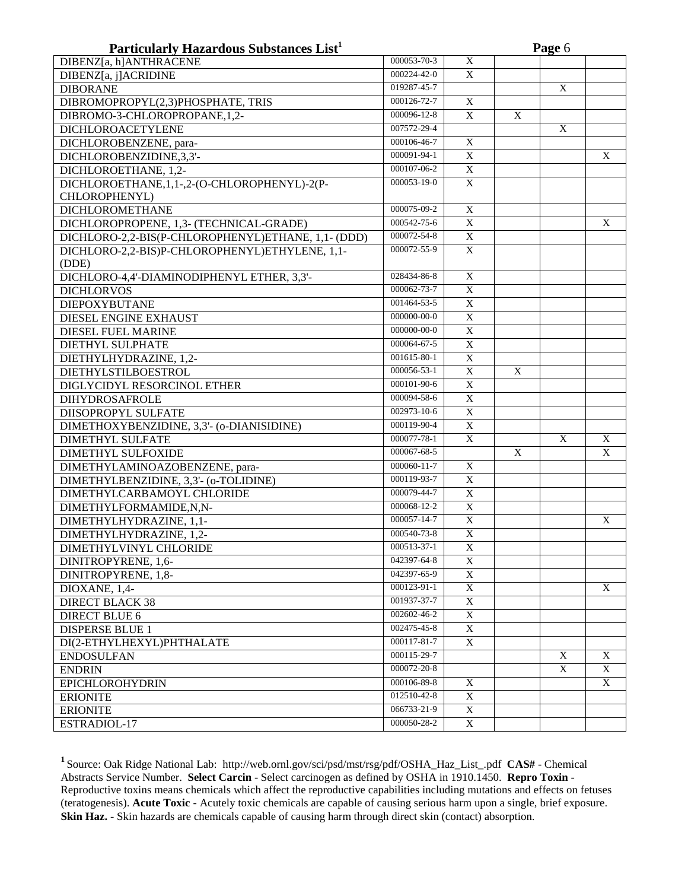| 000053-70-3<br>DIBENZ[a, h]ANTHRACENE<br>X<br>$\overline{X}$<br>000224-42-0<br>DIBENZ[a, j]ACRIDINE<br>019287-45-7<br><b>DIBORANE</b><br>$\mathbf X$<br>000126-72-7<br>$\mathbf X$<br>DIBROMOPROPYL(2,3)PHOSPHATE, TRIS<br>000096-12-8<br>$\mathbf X$<br>DIBROMO-3-CHLOROPROPANE, 1,2-<br>$\mathbf{X}$<br>007572-29-4<br>$\mathbf X$<br><b>DICHLOROACETYLENE</b><br>000106-46-7<br>$\overline{X}$<br>DICHLOROBENZENE, para-<br>000091-94-1<br>$\overline{X}$<br>DICHLOROBENZIDINE,3,3'-<br>X<br>$\overline{X}$<br>000107-06-2<br>DICHLOROETHANE, 1,2-<br>000053-19-0<br>DICHLOROETHANE, 1, 1-, 2-(O-CHLOROPHENYL)-2(P-<br>$\mathbf X$<br>CHLOROPHENYL)<br>000075-09-2<br><b>DICHLOROMETHANE</b><br>X<br>000542-75-6<br>DICHLOROPROPENE, 1,3- (TECHNICAL-GRADE)<br>X<br>X<br>000072-54-8<br>DICHLORO-2,2-BIS(P-CHLOROPHENYL)ETHANE, 1,1- (DDD)<br>$\mathbf X$<br>000072-55-9<br>DICHLORO-2,2-BIS)P-CHLOROPHENYL)ETHYLENE, 1,1-<br>$\mathbf X$<br>(DDE)<br>028434-86-8<br>$\overline{X}$<br>DICHLORO-4,4'-DIAMINODIPHENYL ETHER, 3,3'-<br>000062-73-7<br>$\overline{X}$<br><b>DICHLORVOS</b><br>001464-53-5<br>$\overline{X}$<br>DIEPOXYBUTANE<br>000000-00-0<br>$\overline{X}$<br><b>DIESEL ENGINE EXHAUST</b><br>$\overline{X}$<br>000000-00-0<br>DIESEL FUEL MARINE<br>$\overline{X}$<br>000064-67-5<br><b>DIETHYL SULPHATE</b><br>001615-80-1<br>$\mathbf X$<br>DIETHYLHYDRAZINE, 1,2-<br>000056-53-1<br>$\mathbf X$<br>DIETHYLSTILBOESTROL<br>X<br>000101-90-6<br>$\mathbf X$<br>DIGLYCIDYL RESORCINOL ETHER<br>000094-58-6<br>$\overline{X}$<br><b>DIHYDROSAFROLE</b><br>$\overline{X}$<br>002973-10-6<br>DIISOPROPYL SULFATE<br>$\overline{X}$<br>DIMETHOXYBENZIDINE, 3,3'- (o-DIANISIDINE)<br>000119-90-4<br>000077-78-1<br>$\overline{X}$<br>X<br><b>DIMETHYL SULFATE</b><br>X<br>000067-68-5<br>$\boldsymbol{\mathrm{X}}$<br>$\mathbf X$<br>DIMETHYL SULFOXIDE<br>000060-11-7<br>$\mathbf X$<br>DIMETHYLAMINOAZOBENZENE, para-<br>000119-93-7<br>$\overline{X}$<br>DIMETHYLBENZIDINE, 3,3'- (o-TOLIDINE)<br>000079-44-7<br>$\overline{X}$<br>DIMETHYLCARBAMOYL CHLORIDE<br>000068-12-2<br>$\overline{X}$<br>DIMETHYLFORMAMIDE,N,N-<br>000057-14-7<br>$\overline{X}$<br>DIMETHYLHYDRAZINE, 1,1-<br>X<br>000540-73-8<br>$\overline{X}$<br>DIMETHYLHYDRAZINE, 1,2-<br>000513-37-1<br>X<br>DIMETHYLVINYL CHLORIDE<br>042397-64-8<br>DINITROPYRENE, 1,6-<br>X<br>042397-65-9<br>X<br>DINITROPYRENE, 1,8-<br>000123-91-1<br>X<br>DIOXANE, 1,4-<br>X<br>001937-37-7<br><b>DIRECT BLACK 38</b><br>X<br>002602-46-2<br>X<br><b>DIRECT BLUE 6</b><br>002475-45-8<br><b>DISPERSE BLUE 1</b><br>X<br>000117-81-7<br>X<br>DI(2-ETHYLHEXYL)PHTHALATE<br>000115-29-7<br>X<br><b>ENDOSULFAN</b><br>X<br>000072-20-8<br>X<br>X<br><b>ENDRIN</b><br>000106-89-8<br>X<br>X<br><b>EPICHLOROHYDRIN</b><br>012510-42-8<br>X<br><b>ERIONITE</b><br>066733-21-9<br><b>ERIONITE</b><br>X | Particularly Hazardous Substances List <sup>1</sup> |             |   | Page 6 |  |  |  |  |
|-------------------------------------------------------------------------------------------------------------------------------------------------------------------------------------------------------------------------------------------------------------------------------------------------------------------------------------------------------------------------------------------------------------------------------------------------------------------------------------------------------------------------------------------------------------------------------------------------------------------------------------------------------------------------------------------------------------------------------------------------------------------------------------------------------------------------------------------------------------------------------------------------------------------------------------------------------------------------------------------------------------------------------------------------------------------------------------------------------------------------------------------------------------------------------------------------------------------------------------------------------------------------------------------------------------------------------------------------------------------------------------------------------------------------------------------------------------------------------------------------------------------------------------------------------------------------------------------------------------------------------------------------------------------------------------------------------------------------------------------------------------------------------------------------------------------------------------------------------------------------------------------------------------------------------------------------------------------------------------------------------------------------------------------------------------------------------------------------------------------------------------------------------------------------------------------------------------------------------------------------------------------------------------------------------------------------------------------------------------------------------------------------------------------------------------------------------------------------------------------------------------------------------------------------------------------------------------------------------------------------------------------------------------------------------------------------------------------------------------------------------------------------------------------------------------------------------------------------------------------------|-----------------------------------------------------|-------------|---|--------|--|--|--|--|
|                                                                                                                                                                                                                                                                                                                                                                                                                                                                                                                                                                                                                                                                                                                                                                                                                                                                                                                                                                                                                                                                                                                                                                                                                                                                                                                                                                                                                                                                                                                                                                                                                                                                                                                                                                                                                                                                                                                                                                                                                                                                                                                                                                                                                                                                                                                                                                                                                                                                                                                                                                                                                                                                                                                                                                                                                                                                         |                                                     |             |   |        |  |  |  |  |
|                                                                                                                                                                                                                                                                                                                                                                                                                                                                                                                                                                                                                                                                                                                                                                                                                                                                                                                                                                                                                                                                                                                                                                                                                                                                                                                                                                                                                                                                                                                                                                                                                                                                                                                                                                                                                                                                                                                                                                                                                                                                                                                                                                                                                                                                                                                                                                                                                                                                                                                                                                                                                                                                                                                                                                                                                                                                         |                                                     |             |   |        |  |  |  |  |
|                                                                                                                                                                                                                                                                                                                                                                                                                                                                                                                                                                                                                                                                                                                                                                                                                                                                                                                                                                                                                                                                                                                                                                                                                                                                                                                                                                                                                                                                                                                                                                                                                                                                                                                                                                                                                                                                                                                                                                                                                                                                                                                                                                                                                                                                                                                                                                                                                                                                                                                                                                                                                                                                                                                                                                                                                                                                         |                                                     |             |   |        |  |  |  |  |
|                                                                                                                                                                                                                                                                                                                                                                                                                                                                                                                                                                                                                                                                                                                                                                                                                                                                                                                                                                                                                                                                                                                                                                                                                                                                                                                                                                                                                                                                                                                                                                                                                                                                                                                                                                                                                                                                                                                                                                                                                                                                                                                                                                                                                                                                                                                                                                                                                                                                                                                                                                                                                                                                                                                                                                                                                                                                         |                                                     |             |   |        |  |  |  |  |
|                                                                                                                                                                                                                                                                                                                                                                                                                                                                                                                                                                                                                                                                                                                                                                                                                                                                                                                                                                                                                                                                                                                                                                                                                                                                                                                                                                                                                                                                                                                                                                                                                                                                                                                                                                                                                                                                                                                                                                                                                                                                                                                                                                                                                                                                                                                                                                                                                                                                                                                                                                                                                                                                                                                                                                                                                                                                         |                                                     |             |   |        |  |  |  |  |
|                                                                                                                                                                                                                                                                                                                                                                                                                                                                                                                                                                                                                                                                                                                                                                                                                                                                                                                                                                                                                                                                                                                                                                                                                                                                                                                                                                                                                                                                                                                                                                                                                                                                                                                                                                                                                                                                                                                                                                                                                                                                                                                                                                                                                                                                                                                                                                                                                                                                                                                                                                                                                                                                                                                                                                                                                                                                         |                                                     |             |   |        |  |  |  |  |
|                                                                                                                                                                                                                                                                                                                                                                                                                                                                                                                                                                                                                                                                                                                                                                                                                                                                                                                                                                                                                                                                                                                                                                                                                                                                                                                                                                                                                                                                                                                                                                                                                                                                                                                                                                                                                                                                                                                                                                                                                                                                                                                                                                                                                                                                                                                                                                                                                                                                                                                                                                                                                                                                                                                                                                                                                                                                         |                                                     |             |   |        |  |  |  |  |
|                                                                                                                                                                                                                                                                                                                                                                                                                                                                                                                                                                                                                                                                                                                                                                                                                                                                                                                                                                                                                                                                                                                                                                                                                                                                                                                                                                                                                                                                                                                                                                                                                                                                                                                                                                                                                                                                                                                                                                                                                                                                                                                                                                                                                                                                                                                                                                                                                                                                                                                                                                                                                                                                                                                                                                                                                                                                         |                                                     |             |   |        |  |  |  |  |
|                                                                                                                                                                                                                                                                                                                                                                                                                                                                                                                                                                                                                                                                                                                                                                                                                                                                                                                                                                                                                                                                                                                                                                                                                                                                                                                                                                                                                                                                                                                                                                                                                                                                                                                                                                                                                                                                                                                                                                                                                                                                                                                                                                                                                                                                                                                                                                                                                                                                                                                                                                                                                                                                                                                                                                                                                                                                         |                                                     |             |   |        |  |  |  |  |
|                                                                                                                                                                                                                                                                                                                                                                                                                                                                                                                                                                                                                                                                                                                                                                                                                                                                                                                                                                                                                                                                                                                                                                                                                                                                                                                                                                                                                                                                                                                                                                                                                                                                                                                                                                                                                                                                                                                                                                                                                                                                                                                                                                                                                                                                                                                                                                                                                                                                                                                                                                                                                                                                                                                                                                                                                                                                         |                                                     |             |   |        |  |  |  |  |
|                                                                                                                                                                                                                                                                                                                                                                                                                                                                                                                                                                                                                                                                                                                                                                                                                                                                                                                                                                                                                                                                                                                                                                                                                                                                                                                                                                                                                                                                                                                                                                                                                                                                                                                                                                                                                                                                                                                                                                                                                                                                                                                                                                                                                                                                                                                                                                                                                                                                                                                                                                                                                                                                                                                                                                                                                                                                         |                                                     |             |   |        |  |  |  |  |
|                                                                                                                                                                                                                                                                                                                                                                                                                                                                                                                                                                                                                                                                                                                                                                                                                                                                                                                                                                                                                                                                                                                                                                                                                                                                                                                                                                                                                                                                                                                                                                                                                                                                                                                                                                                                                                                                                                                                                                                                                                                                                                                                                                                                                                                                                                                                                                                                                                                                                                                                                                                                                                                                                                                                                                                                                                                                         |                                                     |             |   |        |  |  |  |  |
|                                                                                                                                                                                                                                                                                                                                                                                                                                                                                                                                                                                                                                                                                                                                                                                                                                                                                                                                                                                                                                                                                                                                                                                                                                                                                                                                                                                                                                                                                                                                                                                                                                                                                                                                                                                                                                                                                                                                                                                                                                                                                                                                                                                                                                                                                                                                                                                                                                                                                                                                                                                                                                                                                                                                                                                                                                                                         |                                                     |             |   |        |  |  |  |  |
|                                                                                                                                                                                                                                                                                                                                                                                                                                                                                                                                                                                                                                                                                                                                                                                                                                                                                                                                                                                                                                                                                                                                                                                                                                                                                                                                                                                                                                                                                                                                                                                                                                                                                                                                                                                                                                                                                                                                                                                                                                                                                                                                                                                                                                                                                                                                                                                                                                                                                                                                                                                                                                                                                                                                                                                                                                                                         |                                                     |             |   |        |  |  |  |  |
|                                                                                                                                                                                                                                                                                                                                                                                                                                                                                                                                                                                                                                                                                                                                                                                                                                                                                                                                                                                                                                                                                                                                                                                                                                                                                                                                                                                                                                                                                                                                                                                                                                                                                                                                                                                                                                                                                                                                                                                                                                                                                                                                                                                                                                                                                                                                                                                                                                                                                                                                                                                                                                                                                                                                                                                                                                                                         |                                                     |             |   |        |  |  |  |  |
|                                                                                                                                                                                                                                                                                                                                                                                                                                                                                                                                                                                                                                                                                                                                                                                                                                                                                                                                                                                                                                                                                                                                                                                                                                                                                                                                                                                                                                                                                                                                                                                                                                                                                                                                                                                                                                                                                                                                                                                                                                                                                                                                                                                                                                                                                                                                                                                                                                                                                                                                                                                                                                                                                                                                                                                                                                                                         |                                                     |             |   |        |  |  |  |  |
|                                                                                                                                                                                                                                                                                                                                                                                                                                                                                                                                                                                                                                                                                                                                                                                                                                                                                                                                                                                                                                                                                                                                                                                                                                                                                                                                                                                                                                                                                                                                                                                                                                                                                                                                                                                                                                                                                                                                                                                                                                                                                                                                                                                                                                                                                                                                                                                                                                                                                                                                                                                                                                                                                                                                                                                                                                                                         |                                                     |             |   |        |  |  |  |  |
|                                                                                                                                                                                                                                                                                                                                                                                                                                                                                                                                                                                                                                                                                                                                                                                                                                                                                                                                                                                                                                                                                                                                                                                                                                                                                                                                                                                                                                                                                                                                                                                                                                                                                                                                                                                                                                                                                                                                                                                                                                                                                                                                                                                                                                                                                                                                                                                                                                                                                                                                                                                                                                                                                                                                                                                                                                                                         |                                                     |             |   |        |  |  |  |  |
|                                                                                                                                                                                                                                                                                                                                                                                                                                                                                                                                                                                                                                                                                                                                                                                                                                                                                                                                                                                                                                                                                                                                                                                                                                                                                                                                                                                                                                                                                                                                                                                                                                                                                                                                                                                                                                                                                                                                                                                                                                                                                                                                                                                                                                                                                                                                                                                                                                                                                                                                                                                                                                                                                                                                                                                                                                                                         |                                                     |             |   |        |  |  |  |  |
|                                                                                                                                                                                                                                                                                                                                                                                                                                                                                                                                                                                                                                                                                                                                                                                                                                                                                                                                                                                                                                                                                                                                                                                                                                                                                                                                                                                                                                                                                                                                                                                                                                                                                                                                                                                                                                                                                                                                                                                                                                                                                                                                                                                                                                                                                                                                                                                                                                                                                                                                                                                                                                                                                                                                                                                                                                                                         |                                                     |             |   |        |  |  |  |  |
|                                                                                                                                                                                                                                                                                                                                                                                                                                                                                                                                                                                                                                                                                                                                                                                                                                                                                                                                                                                                                                                                                                                                                                                                                                                                                                                                                                                                                                                                                                                                                                                                                                                                                                                                                                                                                                                                                                                                                                                                                                                                                                                                                                                                                                                                                                                                                                                                                                                                                                                                                                                                                                                                                                                                                                                                                                                                         |                                                     |             |   |        |  |  |  |  |
|                                                                                                                                                                                                                                                                                                                                                                                                                                                                                                                                                                                                                                                                                                                                                                                                                                                                                                                                                                                                                                                                                                                                                                                                                                                                                                                                                                                                                                                                                                                                                                                                                                                                                                                                                                                                                                                                                                                                                                                                                                                                                                                                                                                                                                                                                                                                                                                                                                                                                                                                                                                                                                                                                                                                                                                                                                                                         |                                                     |             |   |        |  |  |  |  |
|                                                                                                                                                                                                                                                                                                                                                                                                                                                                                                                                                                                                                                                                                                                                                                                                                                                                                                                                                                                                                                                                                                                                                                                                                                                                                                                                                                                                                                                                                                                                                                                                                                                                                                                                                                                                                                                                                                                                                                                                                                                                                                                                                                                                                                                                                                                                                                                                                                                                                                                                                                                                                                                                                                                                                                                                                                                                         |                                                     |             |   |        |  |  |  |  |
|                                                                                                                                                                                                                                                                                                                                                                                                                                                                                                                                                                                                                                                                                                                                                                                                                                                                                                                                                                                                                                                                                                                                                                                                                                                                                                                                                                                                                                                                                                                                                                                                                                                                                                                                                                                                                                                                                                                                                                                                                                                                                                                                                                                                                                                                                                                                                                                                                                                                                                                                                                                                                                                                                                                                                                                                                                                                         |                                                     |             |   |        |  |  |  |  |
|                                                                                                                                                                                                                                                                                                                                                                                                                                                                                                                                                                                                                                                                                                                                                                                                                                                                                                                                                                                                                                                                                                                                                                                                                                                                                                                                                                                                                                                                                                                                                                                                                                                                                                                                                                                                                                                                                                                                                                                                                                                                                                                                                                                                                                                                                                                                                                                                                                                                                                                                                                                                                                                                                                                                                                                                                                                                         |                                                     |             |   |        |  |  |  |  |
|                                                                                                                                                                                                                                                                                                                                                                                                                                                                                                                                                                                                                                                                                                                                                                                                                                                                                                                                                                                                                                                                                                                                                                                                                                                                                                                                                                                                                                                                                                                                                                                                                                                                                                                                                                                                                                                                                                                                                                                                                                                                                                                                                                                                                                                                                                                                                                                                                                                                                                                                                                                                                                                                                                                                                                                                                                                                         |                                                     |             |   |        |  |  |  |  |
|                                                                                                                                                                                                                                                                                                                                                                                                                                                                                                                                                                                                                                                                                                                                                                                                                                                                                                                                                                                                                                                                                                                                                                                                                                                                                                                                                                                                                                                                                                                                                                                                                                                                                                                                                                                                                                                                                                                                                                                                                                                                                                                                                                                                                                                                                                                                                                                                                                                                                                                                                                                                                                                                                                                                                                                                                                                                         |                                                     |             |   |        |  |  |  |  |
|                                                                                                                                                                                                                                                                                                                                                                                                                                                                                                                                                                                                                                                                                                                                                                                                                                                                                                                                                                                                                                                                                                                                                                                                                                                                                                                                                                                                                                                                                                                                                                                                                                                                                                                                                                                                                                                                                                                                                                                                                                                                                                                                                                                                                                                                                                                                                                                                                                                                                                                                                                                                                                                                                                                                                                                                                                                                         |                                                     |             |   |        |  |  |  |  |
|                                                                                                                                                                                                                                                                                                                                                                                                                                                                                                                                                                                                                                                                                                                                                                                                                                                                                                                                                                                                                                                                                                                                                                                                                                                                                                                                                                                                                                                                                                                                                                                                                                                                                                                                                                                                                                                                                                                                                                                                                                                                                                                                                                                                                                                                                                                                                                                                                                                                                                                                                                                                                                                                                                                                                                                                                                                                         |                                                     |             |   |        |  |  |  |  |
|                                                                                                                                                                                                                                                                                                                                                                                                                                                                                                                                                                                                                                                                                                                                                                                                                                                                                                                                                                                                                                                                                                                                                                                                                                                                                                                                                                                                                                                                                                                                                                                                                                                                                                                                                                                                                                                                                                                                                                                                                                                                                                                                                                                                                                                                                                                                                                                                                                                                                                                                                                                                                                                                                                                                                                                                                                                                         |                                                     |             |   |        |  |  |  |  |
|                                                                                                                                                                                                                                                                                                                                                                                                                                                                                                                                                                                                                                                                                                                                                                                                                                                                                                                                                                                                                                                                                                                                                                                                                                                                                                                                                                                                                                                                                                                                                                                                                                                                                                                                                                                                                                                                                                                                                                                                                                                                                                                                                                                                                                                                                                                                                                                                                                                                                                                                                                                                                                                                                                                                                                                                                                                                         |                                                     |             |   |        |  |  |  |  |
|                                                                                                                                                                                                                                                                                                                                                                                                                                                                                                                                                                                                                                                                                                                                                                                                                                                                                                                                                                                                                                                                                                                                                                                                                                                                                                                                                                                                                                                                                                                                                                                                                                                                                                                                                                                                                                                                                                                                                                                                                                                                                                                                                                                                                                                                                                                                                                                                                                                                                                                                                                                                                                                                                                                                                                                                                                                                         |                                                     |             |   |        |  |  |  |  |
|                                                                                                                                                                                                                                                                                                                                                                                                                                                                                                                                                                                                                                                                                                                                                                                                                                                                                                                                                                                                                                                                                                                                                                                                                                                                                                                                                                                                                                                                                                                                                                                                                                                                                                                                                                                                                                                                                                                                                                                                                                                                                                                                                                                                                                                                                                                                                                                                                                                                                                                                                                                                                                                                                                                                                                                                                                                                         |                                                     |             |   |        |  |  |  |  |
|                                                                                                                                                                                                                                                                                                                                                                                                                                                                                                                                                                                                                                                                                                                                                                                                                                                                                                                                                                                                                                                                                                                                                                                                                                                                                                                                                                                                                                                                                                                                                                                                                                                                                                                                                                                                                                                                                                                                                                                                                                                                                                                                                                                                                                                                                                                                                                                                                                                                                                                                                                                                                                                                                                                                                                                                                                                                         |                                                     |             |   |        |  |  |  |  |
|                                                                                                                                                                                                                                                                                                                                                                                                                                                                                                                                                                                                                                                                                                                                                                                                                                                                                                                                                                                                                                                                                                                                                                                                                                                                                                                                                                                                                                                                                                                                                                                                                                                                                                                                                                                                                                                                                                                                                                                                                                                                                                                                                                                                                                                                                                                                                                                                                                                                                                                                                                                                                                                                                                                                                                                                                                                                         |                                                     |             |   |        |  |  |  |  |
|                                                                                                                                                                                                                                                                                                                                                                                                                                                                                                                                                                                                                                                                                                                                                                                                                                                                                                                                                                                                                                                                                                                                                                                                                                                                                                                                                                                                                                                                                                                                                                                                                                                                                                                                                                                                                                                                                                                                                                                                                                                                                                                                                                                                                                                                                                                                                                                                                                                                                                                                                                                                                                                                                                                                                                                                                                                                         |                                                     |             |   |        |  |  |  |  |
|                                                                                                                                                                                                                                                                                                                                                                                                                                                                                                                                                                                                                                                                                                                                                                                                                                                                                                                                                                                                                                                                                                                                                                                                                                                                                                                                                                                                                                                                                                                                                                                                                                                                                                                                                                                                                                                                                                                                                                                                                                                                                                                                                                                                                                                                                                                                                                                                                                                                                                                                                                                                                                                                                                                                                                                                                                                                         |                                                     |             |   |        |  |  |  |  |
|                                                                                                                                                                                                                                                                                                                                                                                                                                                                                                                                                                                                                                                                                                                                                                                                                                                                                                                                                                                                                                                                                                                                                                                                                                                                                                                                                                                                                                                                                                                                                                                                                                                                                                                                                                                                                                                                                                                                                                                                                                                                                                                                                                                                                                                                                                                                                                                                                                                                                                                                                                                                                                                                                                                                                                                                                                                                         |                                                     |             |   |        |  |  |  |  |
|                                                                                                                                                                                                                                                                                                                                                                                                                                                                                                                                                                                                                                                                                                                                                                                                                                                                                                                                                                                                                                                                                                                                                                                                                                                                                                                                                                                                                                                                                                                                                                                                                                                                                                                                                                                                                                                                                                                                                                                                                                                                                                                                                                                                                                                                                                                                                                                                                                                                                                                                                                                                                                                                                                                                                                                                                                                                         |                                                     |             |   |        |  |  |  |  |
|                                                                                                                                                                                                                                                                                                                                                                                                                                                                                                                                                                                                                                                                                                                                                                                                                                                                                                                                                                                                                                                                                                                                                                                                                                                                                                                                                                                                                                                                                                                                                                                                                                                                                                                                                                                                                                                                                                                                                                                                                                                                                                                                                                                                                                                                                                                                                                                                                                                                                                                                                                                                                                                                                                                                                                                                                                                                         |                                                     |             |   |        |  |  |  |  |
|                                                                                                                                                                                                                                                                                                                                                                                                                                                                                                                                                                                                                                                                                                                                                                                                                                                                                                                                                                                                                                                                                                                                                                                                                                                                                                                                                                                                                                                                                                                                                                                                                                                                                                                                                                                                                                                                                                                                                                                                                                                                                                                                                                                                                                                                                                                                                                                                                                                                                                                                                                                                                                                                                                                                                                                                                                                                         |                                                     |             |   |        |  |  |  |  |
|                                                                                                                                                                                                                                                                                                                                                                                                                                                                                                                                                                                                                                                                                                                                                                                                                                                                                                                                                                                                                                                                                                                                                                                                                                                                                                                                                                                                                                                                                                                                                                                                                                                                                                                                                                                                                                                                                                                                                                                                                                                                                                                                                                                                                                                                                                                                                                                                                                                                                                                                                                                                                                                                                                                                                                                                                                                                         |                                                     |             |   |        |  |  |  |  |
|                                                                                                                                                                                                                                                                                                                                                                                                                                                                                                                                                                                                                                                                                                                                                                                                                                                                                                                                                                                                                                                                                                                                                                                                                                                                                                                                                                                                                                                                                                                                                                                                                                                                                                                                                                                                                                                                                                                                                                                                                                                                                                                                                                                                                                                                                                                                                                                                                                                                                                                                                                                                                                                                                                                                                                                                                                                                         |                                                     |             |   |        |  |  |  |  |
|                                                                                                                                                                                                                                                                                                                                                                                                                                                                                                                                                                                                                                                                                                                                                                                                                                                                                                                                                                                                                                                                                                                                                                                                                                                                                                                                                                                                                                                                                                                                                                                                                                                                                                                                                                                                                                                                                                                                                                                                                                                                                                                                                                                                                                                                                                                                                                                                                                                                                                                                                                                                                                                                                                                                                                                                                                                                         |                                                     |             |   |        |  |  |  |  |
|                                                                                                                                                                                                                                                                                                                                                                                                                                                                                                                                                                                                                                                                                                                                                                                                                                                                                                                                                                                                                                                                                                                                                                                                                                                                                                                                                                                                                                                                                                                                                                                                                                                                                                                                                                                                                                                                                                                                                                                                                                                                                                                                                                                                                                                                                                                                                                                                                                                                                                                                                                                                                                                                                                                                                                                                                                                                         |                                                     |             |   |        |  |  |  |  |
|                                                                                                                                                                                                                                                                                                                                                                                                                                                                                                                                                                                                                                                                                                                                                                                                                                                                                                                                                                                                                                                                                                                                                                                                                                                                                                                                                                                                                                                                                                                                                                                                                                                                                                                                                                                                                                                                                                                                                                                                                                                                                                                                                                                                                                                                                                                                                                                                                                                                                                                                                                                                                                                                                                                                                                                                                                                                         |                                                     |             |   |        |  |  |  |  |
|                                                                                                                                                                                                                                                                                                                                                                                                                                                                                                                                                                                                                                                                                                                                                                                                                                                                                                                                                                                                                                                                                                                                                                                                                                                                                                                                                                                                                                                                                                                                                                                                                                                                                                                                                                                                                                                                                                                                                                                                                                                                                                                                                                                                                                                                                                                                                                                                                                                                                                                                                                                                                                                                                                                                                                                                                                                                         |                                                     |             |   |        |  |  |  |  |
|                                                                                                                                                                                                                                                                                                                                                                                                                                                                                                                                                                                                                                                                                                                                                                                                                                                                                                                                                                                                                                                                                                                                                                                                                                                                                                                                                                                                                                                                                                                                                                                                                                                                                                                                                                                                                                                                                                                                                                                                                                                                                                                                                                                                                                                                                                                                                                                                                                                                                                                                                                                                                                                                                                                                                                                                                                                                         |                                                     |             |   |        |  |  |  |  |
|                                                                                                                                                                                                                                                                                                                                                                                                                                                                                                                                                                                                                                                                                                                                                                                                                                                                                                                                                                                                                                                                                                                                                                                                                                                                                                                                                                                                                                                                                                                                                                                                                                                                                                                                                                                                                                                                                                                                                                                                                                                                                                                                                                                                                                                                                                                                                                                                                                                                                                                                                                                                                                                                                                                                                                                                                                                                         |                                                     |             |   |        |  |  |  |  |
|                                                                                                                                                                                                                                                                                                                                                                                                                                                                                                                                                                                                                                                                                                                                                                                                                                                                                                                                                                                                                                                                                                                                                                                                                                                                                                                                                                                                                                                                                                                                                                                                                                                                                                                                                                                                                                                                                                                                                                                                                                                                                                                                                                                                                                                                                                                                                                                                                                                                                                                                                                                                                                                                                                                                                                                                                                                                         | ESTRADIOL-17                                        | 000050-28-2 | X |        |  |  |  |  |

**<sup>1</sup>**Source: Oak Ridge National Lab: http://web.ornl.gov/sci/psd/mst/rsg/pdf/OSHA\_Haz\_List\_.pdf **CAS#** - Chemical Abstracts Service Number. Select Carcin - Select carcinogen as defined by OSHA in 1910.1450. Repro Toxin -Reproductive toxins means chemicals which affect the reproductive capabilities including mutations and effects on fetuses (teratogenesis). **Acute Toxic** - Acutely toxic chemicals are capable of causing serious harm upon a single, brief exposure. **Skin Haz.** - Skin hazards are chemicals capable of causing harm through direct skin (contact) absorption.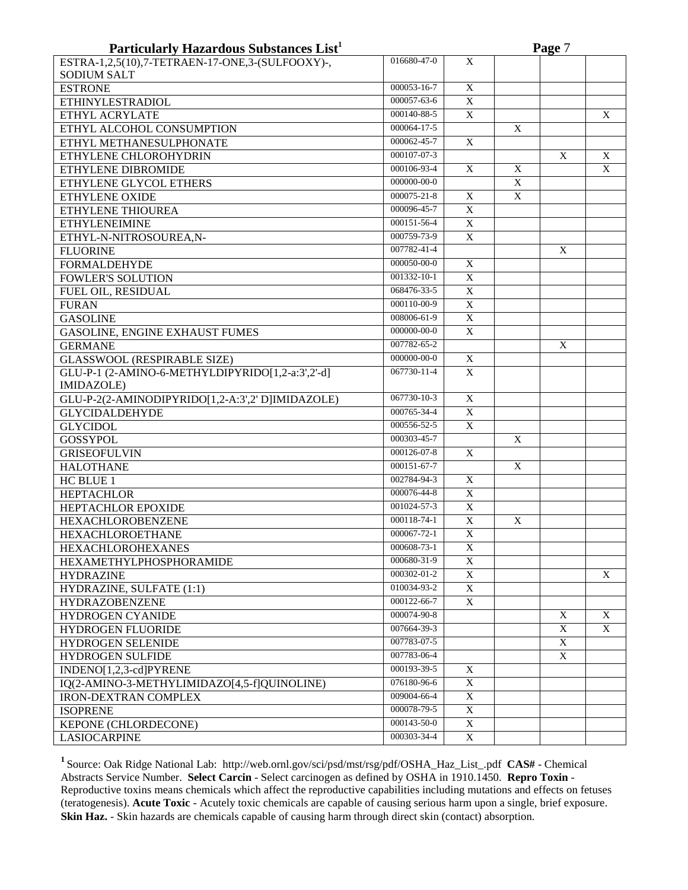| Particularly Hazardous Substances List <sup>1</sup> |             |                |             | Page 7 |   |
|-----------------------------------------------------|-------------|----------------|-------------|--------|---|
| ESTRA-1,2,5(10),7-TETRAEN-17-ONE,3-(SULFOOXY)-,     | 016680-47-0 | X              |             |        |   |
| <b>SODIUM SALT</b>                                  |             |                |             |        |   |
| <b>ESTRONE</b>                                      | 000053-16-7 | $\overline{X}$ |             |        |   |
| <b>ETHINYLESTRADIOL</b>                             | 000057-63-6 | $\overline{X}$ |             |        |   |
| ETHYL ACRYLATE                                      | 000140-88-5 | $\overline{X}$ |             |        | X |
| ETHYL ALCOHOL CONSUMPTION                           | 000064-17-5 |                | X           |        |   |
| ETHYL METHANESULPHONATE                             | 000062-45-7 | X              |             |        |   |
| ETHYLENE CHLOROHYDRIN                               | 000107-07-3 |                |             | X      | X |
| ETHYLENE DIBROMIDE                                  | 000106-93-4 | X              | X           |        | X |
| ETHYLENE GLYCOL ETHERS                              | 000000-00-0 |                | X           |        |   |
| ETHYLENE OXIDE                                      | 000075-21-8 | X              | $\mathbf X$ |        |   |
| ETHYLENE THIOUREA                                   | 000096-45-7 | $\overline{X}$ |             |        |   |
| <b>ETHYLENEIMINE</b>                                | 000151-56-4 | $\overline{X}$ |             |        |   |
| ETHYL-N-NITROSOUREA,N-                              | 000759-73-9 | $\mathbf X$    |             |        |   |
| <b>FLUORINE</b>                                     | 007782-41-4 |                |             | X      |   |
| <b>FORMALDEHYDE</b>                                 | 000050-00-0 | X              |             |        |   |
| <b>FOWLER'S SOLUTION</b>                            | 001332-10-1 | X              |             |        |   |
| FUEL OIL, RESIDUAL                                  | 068476-33-5 | X              |             |        |   |
| <b>FURAN</b>                                        | 000110-00-9 | X              |             |        |   |
| <b>GASOLINE</b>                                     | 008006-61-9 | $\overline{X}$ |             |        |   |
| GASOLINE, ENGINE EXHAUST FUMES                      | 000000-00-0 | $\mathbf X$    |             |        |   |
| <b>GERMANE</b>                                      | 007782-65-2 |                |             | X      |   |
| <b>GLASSWOOL (RESPIRABLE SIZE)</b>                  | 000000-00-0 | X              |             |        |   |
| GLU-P-1 (2-AMINO-6-METHYLDIPYRIDO[1,2-a:3',2'-d]    | 067730-11-4 | X              |             |        |   |
| IMIDAZOLE)                                          |             |                |             |        |   |
| GLU-P-2(2-AMINODIPYRIDO[1,2-A:3',2' D]IMIDAZOLE)    | 067730-10-3 | $\overline{X}$ |             |        |   |
| <b>GLYCIDALDEHYDE</b>                               | 000765-34-4 | X              |             |        |   |
| <b>GLYCIDOL</b>                                     | 000556-52-5 | $\mathbf X$    |             |        |   |
| <b>GOSSYPOL</b>                                     | 000303-45-7 |                | X           |        |   |
| <b>GRISEOFULVIN</b>                                 | 000126-07-8 | X              |             |        |   |
| <b>HALOTHANE</b>                                    | 000151-67-7 |                | X           |        |   |
| HC BLUE 1                                           | 002784-94-3 | X              |             |        |   |
| <b>HEPTACHLOR</b>                                   | 000076-44-8 | X              |             |        |   |
| <b>HEPTACHLOR EPOXIDE</b>                           | 001024-57-3 | X              |             |        |   |
| HEXACHLOROBENZENE                                   | 000118-74-1 | X              | X           |        |   |
| HEXACHLOROETHANE                                    | 000067-72-1 | X              |             |        |   |
| <b>HEXACHLOROHEXANES</b>                            | 000608-73-1 | X              |             |        |   |
| HEXAMETHYLPHOSPHORAMIDE                             | 000680-31-9 | X              |             |        |   |
| <b>HYDRAZINE</b>                                    | 000302-01-2 | X              |             |        | X |
| HYDRAZINE, SULFATE (1:1)                            | 010034-93-2 | X              |             |        |   |
| <b>HYDRAZOBENZENE</b>                               | 000122-66-7 | X              |             |        |   |
| <b>HYDROGEN CYANIDE</b>                             | 000074-90-8 |                |             | X      | X |
| HYDROGEN FLUORIDE                                   | 007664-39-3 |                |             | X      | X |
| HYDROGEN SELENIDE                                   | 007783-07-5 |                |             | X      |   |
| <b>HYDROGEN SULFIDE</b>                             | 007783-06-4 |                |             | X      |   |
| INDENO[1,2,3-cd]PYRENE                              | 000193-39-5 | X              |             |        |   |
| IQ(2-AMINO-3-METHYLIMIDAZO[4,5-f]QUINOLINE)         | 076180-96-6 | $\mathbf X$    |             |        |   |
| <b>IRON-DEXTRAN COMPLEX</b>                         | 009004-66-4 | $\mathbf X$    |             |        |   |
| <b>ISOPRENE</b>                                     | 000078-79-5 | X              |             |        |   |
| KEPONE (CHLORDECONE)                                | 000143-50-0 | X              |             |        |   |
| <b>LASIOCARPINE</b>                                 | 000303-34-4 | X              |             |        |   |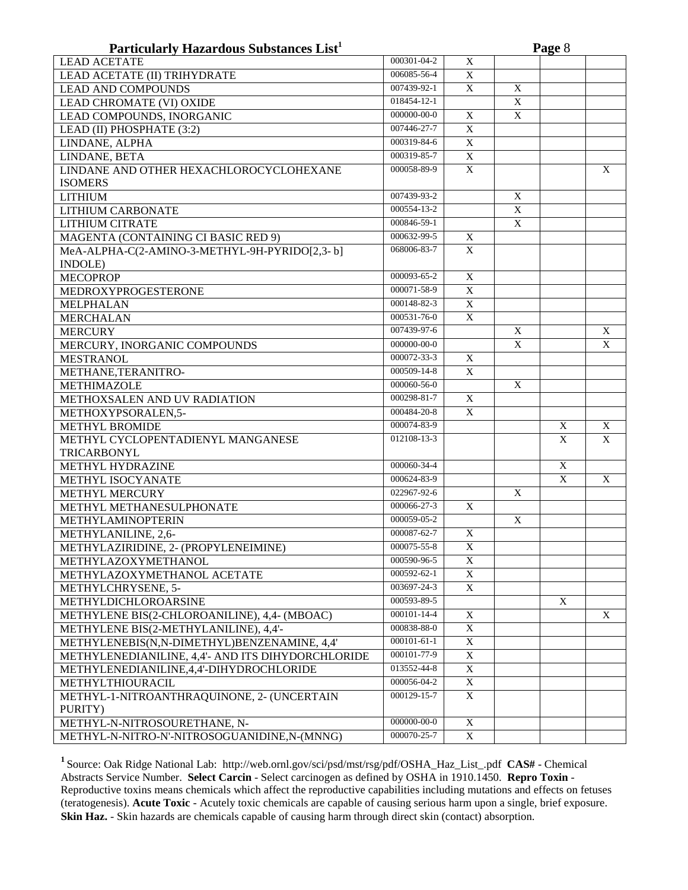| Particularly Hazardous Substances List <sup>1</sup> |                   |                |              | Page 8 |   |
|-----------------------------------------------------|-------------------|----------------|--------------|--------|---|
| <b>LEAD ACETATE</b>                                 | 000301-04-2       | $\mathbf X$    |              |        |   |
| LEAD ACETATE (II) TRIHYDRATE                        | 006085-56-4       | X              |              |        |   |
| <b>LEAD AND COMPOUNDS</b>                           | 007439-92-1       | X              | X            |        |   |
| LEAD CHROMATE (VI) OXIDE                            | 018454-12-1       |                | X            |        |   |
| LEAD COMPOUNDS, INORGANIC                           | $000000 - 00 - 0$ | X              | X            |        |   |
| LEAD (II) PHOSPHATE (3:2)                           | 007446-27-7       | X              |              |        |   |
| LINDANE, ALPHA                                      | 000319-84-6       | $\mathbf X$    |              |        |   |
| LINDANE, BETA                                       | 000319-85-7       | $\overline{X}$ |              |        |   |
| LINDANE AND OTHER HEXACHLOROCYCLOHEXANE             | 000058-89-9       | $\mathbf X$    |              |        | X |
| <b>ISOMERS</b>                                      |                   |                |              |        |   |
| <b>LITHIUM</b>                                      | 007439-93-2       |                | X            |        |   |
| LITHIUM CARBONATE                                   | 000554-13-2       |                | X            |        |   |
| <b>LITHIUM CITRATE</b>                              | 000846-59-1       |                | X            |        |   |
| MAGENTA (CONTAINING CI BASIC RED 9)                 | $000632 - 99 - 5$ | X              |              |        |   |
| MeA-ALPHA-C(2-AMINO-3-METHYL-9H-PYRIDO[2,3-b]       | 068006-83-7       | X              |              |        |   |
| INDOLE)                                             |                   |                |              |        |   |
| <b>MECOPROP</b>                                     | 000093-65-2       | $\overline{X}$ |              |        |   |
| MEDROXYPROGESTERONE                                 | 000071-58-9       | $\overline{X}$ |              |        |   |
| MELPHALAN                                           | 000148-82-3       | $\mathbf X$    |              |        |   |
| <b>MERCHALAN</b>                                    | 000531-76-0       | $\mathbf X$    |              |        |   |
| <b>MERCURY</b>                                      | 007439-97-6       |                | $\mathbf{X}$ |        | X |
| MERCURY, INORGANIC COMPOUNDS                        | 000000-00-0       |                | X            |        | X |
| <b>MESTRANOL</b>                                    | 000072-33-3       | X              |              |        |   |
| METHANE, TERANITRO-                                 | 000509-14-8       | X              |              |        |   |
| <b>METHIMAZOLE</b>                                  | $000060 - 56 - 0$ |                | X            |        |   |
| METHOXSALEN AND UV RADIATION                        | $000298 - 81 - 7$ | X              |              |        |   |
| METHOXYPSORALEN,5-                                  | 000484-20-8       | X              |              |        |   |
| <b>METHYL BROMIDE</b>                               | 000074-83-9       |                |              | X      | X |
| METHYL CYCLOPENTADIENYL MANGANESE                   | 012108-13-3       |                |              | X      | X |
| TRICARBONYL                                         |                   |                |              |        |   |
| METHYL HYDRAZINE                                    | 000060-34-4       |                |              | X      |   |
| METHYL ISOCYANATE                                   | 000624-83-9       |                |              | X      | X |
| <b>METHYL MERCURY</b>                               | $022967 - 92 - 6$ |                | X            |        |   |
| METHYL METHANESULPHONATE                            | 000066-27-3       | X              |              |        |   |
| METHYLAMINOPTERIN                                   | 000059-05-2       |                | X            |        |   |
| METHYLANILINE, 2,6-                                 | 000087-62-7       | X              |              |        |   |
| METHYLAZIRIDINE, 2- (PROPYLENEIMINE)                | 000075-55-8       | X              |              |        |   |
| METHYLAZOXYMETHANOL                                 | 000590-96-5       | X              |              |        |   |
| METHYLAZOXYMETHANOL ACETATE                         | 000592-62-1       | X              |              |        |   |
| METHYLCHRYSENE, 5-                                  | 003697-24-3       | X              |              |        |   |
| METHYLDICHLOROARSINE                                | 000593-89-5       |                |              | X      |   |
| METHYLENE BIS(2-CHLOROANILINE), 4,4- (MBOAC)        | 000101-14-4       | X              |              |        | X |
| METHYLENE BIS(2-METHYLANILINE), 4,4'-               | 000838-88-0       | X              |              |        |   |
| METHYLENEBIS(N,N-DIMETHYL)BENZENAMINE, 4,4'         | $000101 - 61 - 1$ | X              |              |        |   |
| METHYLENEDIANILINE, 4,4'- AND ITS DIHYDORCHLORIDE   | 000101-77-9       | $\mathbf X$    |              |        |   |
| METHYLENEDIANILINE, 4, 4'-DIHYDROCHLORIDE           | 013552-44-8       | $\mathbf X$    |              |        |   |
| METHYLTHIOURACIL                                    | 000056-04-2       | X              |              |        |   |
| METHYL-1-NITROANTHRAQUINONE, 2- (UNCERTAIN          | 000129-15-7       | X              |              |        |   |
| PURITY)                                             |                   |                |              |        |   |
| METHYL-N-NITROSOURETHANE, N-                        | 000000-00-0       | X              |              |        |   |
| METHYL-N-NITRO-N'-NITROSOGUANIDINE,N-(MNNG)         | 000070-25-7       | X              |              |        |   |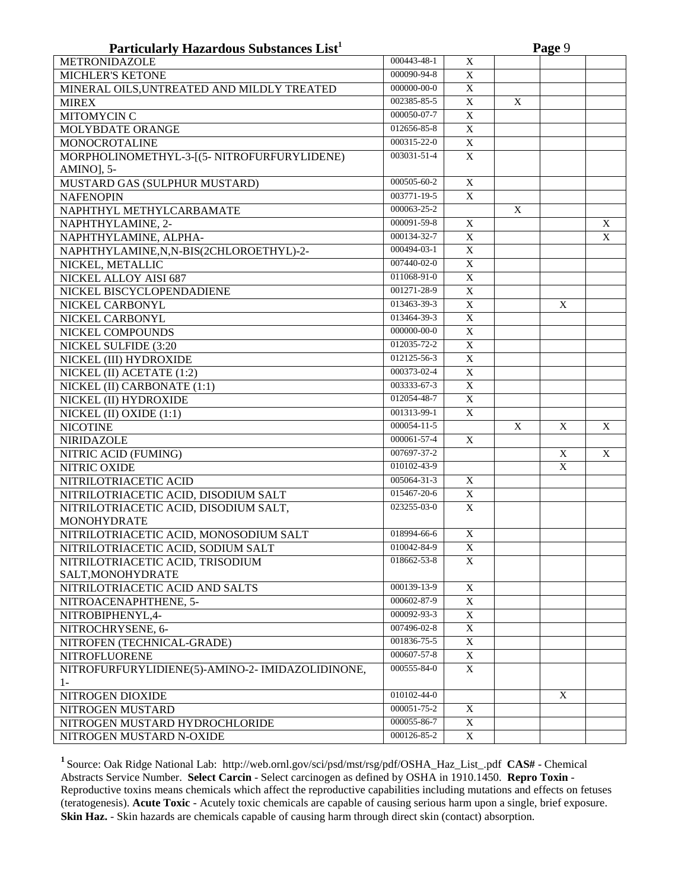| Particularly Hazardous Substances List <sup>1</sup> |                   |                           |             | Page 9      |   |
|-----------------------------------------------------|-------------------|---------------------------|-------------|-------------|---|
| <b>METRONIDAZOLE</b>                                | 000443-48-1       | X                         |             |             |   |
| <b>MICHLER'S KETONE</b>                             | 000090-94-8       | $\mathbf X$               |             |             |   |
| MINERAL OILS, UNTREATED AND MILDLY TREATED          | 000000-00-0       | $\overline{X}$            |             |             |   |
| <b>MIREX</b>                                        | 002385-85-5       | X                         | X           |             |   |
| <b>MITOMYCIN C</b>                                  | 000050-07-7       | $\mathbf X$               |             |             |   |
| MOLYBDATE ORANGE                                    | 012656-85-8       | $\mathbf X$               |             |             |   |
| <b>MONOCROTALINE</b>                                | $000315 - 22 - 0$ | $\overline{X}$            |             |             |   |
| MORPHOLINOMETHYL-3-[(5- NITROFURFURYLIDENE)         | 003031-51-4       | $\mathbf X$               |             |             |   |
| AMINO], 5-                                          |                   |                           |             |             |   |
| MUSTARD GAS (SULPHUR MUSTARD)                       | 000505-60-2       | X                         |             |             |   |
| <b>NAFENOPIN</b>                                    | 003771-19-5       | X                         |             |             |   |
| NAPHTHYL METHYLCARBAMATE                            | 000063-25-2       |                           | X           |             |   |
| NAPHTHYLAMINE, 2-                                   | 000091-59-8       | X                         |             |             | X |
| NAPHTHYLAMINE, ALPHA-                               | 000134-32-7       | X                         |             |             | X |
| NAPHTHYLAMINE, N, N-BIS(2CHLOROETHYL)-2-            | 000494-03-1       | $\overline{X}$            |             |             |   |
| NICKEL, METALLIC                                    | 007440-02-0       | $\overline{X}$            |             |             |   |
| NICKEL ALLOY AISI 687                               | 011068-91-0       | $\overline{X}$            |             |             |   |
| NICKEL BISCYCLOPENDADIENE                           | 001271-28-9       | $\overline{X}$            |             |             |   |
| NICKEL CARBONYL                                     | 013463-39-3       | $\overline{X}$            |             | X           |   |
| NICKEL CARBONYL                                     | 013464-39-3       | $\overline{X}$            |             |             |   |
| NICKEL COMPOUNDS                                    | $000000 - 00 - 0$ | $\overline{X}$            |             |             |   |
| NICKEL SULFIDE (3:20                                | 012035-72-2       | $\overline{X}$            |             |             |   |
| NICKEL (III) HYDROXIDE                              | 012125-56-3       | $\overline{X}$            |             |             |   |
| NICKEL (II) ACETATE (1:2)                           | 000373-02-4       | $\mathbf X$               |             |             |   |
| NICKEL (II) CARBONATE (1:1)                         | 003333-67-3       | X                         |             |             |   |
| NICKEL (II) HYDROXIDE                               | $012054 - 48 - 7$ | $\mathbf X$               |             |             |   |
| NICKEL (II) OXIDE (1:1)                             | 001313-99-1       | $\overline{X}$            |             |             |   |
| <b>NICOTINE</b>                                     | 000054-11-5       |                           | $\mathbf X$ | $\mathbf X$ | X |
| <b>NIRIDAZOLE</b>                                   | 000061-57-4       | $\mathbf X$               |             |             |   |
| NITRIC ACID (FUMING)                                | 007697-37-2       |                           |             | X           | X |
| NITRIC OXIDE                                        | 010102-43-9       |                           |             | $\mathbf X$ |   |
| NITRILOTRIACETIC ACID                               | 005064-31-3       | X                         |             |             |   |
| NITRILOTRIACETIC ACID, DISODIUM SALT                | 015467-20-6       | X                         |             |             |   |
| NITRILOTRIACETIC ACID, DISODIUM SALT,               | 023255-03-0       | $\mathbf X$               |             |             |   |
| <b>MONOHYDRATE</b>                                  |                   |                           |             |             |   |
| NITRILOTRIACETIC ACID, MONOSODIUM SALT              | 018994-66-6       | $\mathbf X$               |             |             |   |
| NITRILOTRIACETIC ACID, SODIUM SALT                  | 010042-84-9       | X                         |             |             |   |
| NITRILOTRIACETIC ACID, TRISODIUM                    | 018662-53-8       | X                         |             |             |   |
| SALT, MONOHYDRATE                                   |                   |                           |             |             |   |
| NITRILOTRIACETIC ACID AND SALTS                     | 000139-13-9       | $\mathbf X$               |             |             |   |
| NITROACENAPHTHENE, 5-                               | 000602-87-9       | $\mathbf X$               |             |             |   |
| NITROBIPHENYL,4-                                    | 000092-93-3       | $\mathbf X$               |             |             |   |
| NITROCHRYSENE, 6-                                   | 007496-02-8       | $\mathbf X$               |             |             |   |
| NITROFEN (TECHNICAL-GRADE)                          | 001836-75-5       | $\mathbf X$               |             |             |   |
| <b>NITROFLUORENE</b>                                | 000607-57-8       | $\mathbf X$               |             |             |   |
| NITROFURFURYLIDIENE(5)-AMINO-2- IMIDAZOLIDINONE,    | 000555-84-0       | $\boldsymbol{\mathrm{X}}$ |             |             |   |
| $1-$                                                |                   |                           |             |             |   |
| NITROGEN DIOXIDE                                    | 010102-44-0       |                           |             | X           |   |
| NITROGEN MUSTARD                                    | 000051-75-2       | X                         |             |             |   |
| NITROGEN MUSTARD HYDROCHLORIDE                      | 000055-86-7       | X                         |             |             |   |
| NITROGEN MUSTARD N-OXIDE                            | 000126-85-2       | X                         |             |             |   |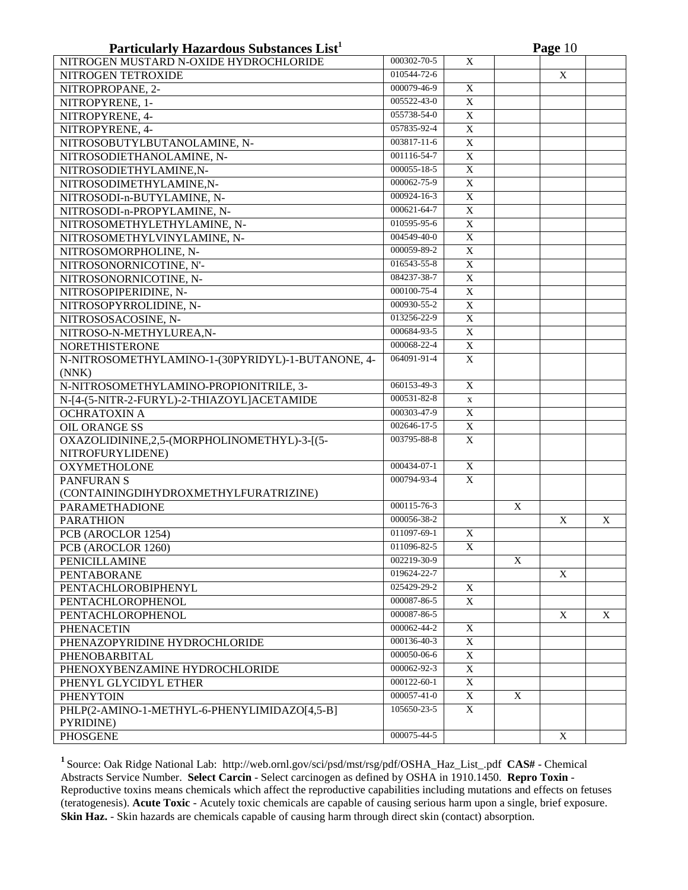| Particularly Hazardous Substances List <sup>1</sup> |                   |                | Page 10        |   |   |  |  |  |
|-----------------------------------------------------|-------------------|----------------|----------------|---|---|--|--|--|
| NITROGEN MUSTARD N-OXIDE HYDROCHLORIDE              | 000302-70-5       | $\mathbf X$    |                |   |   |  |  |  |
| NITROGEN TETROXIDE                                  | 010544-72-6       |                |                | X |   |  |  |  |
| NITROPROPANE, 2-                                    | 000079-46-9       | X              |                |   |   |  |  |  |
| NITROPYRENE, 1-                                     | 005522-43-0       | $\overline{X}$ |                |   |   |  |  |  |
| NITROPYRENE, 4-                                     | 055738-54-0       | $\overline{X}$ |                |   |   |  |  |  |
| NITROPYRENE, 4-                                     | 057835-92-4       | $\overline{X}$ |                |   |   |  |  |  |
| NITROSOBUTYLBUTANOLAMINE, N-                        | $003817 - 11 - 6$ | $\overline{X}$ |                |   |   |  |  |  |
| NITROSODIETHANOLAMINE, N-                           | 001116-54-7       | $\mathbf X$    |                |   |   |  |  |  |
| NITROSODIETHYLAMINE,N-                              | 000055-18-5       | $\overline{X}$ |                |   |   |  |  |  |
| NITROSODIMETHYLAMINE,N-                             | 000062-75-9       | X              |                |   |   |  |  |  |
| NITROSODI-n-BUTYLAMINE, N-                          | 000924-16-3       | $\mathbf X$    |                |   |   |  |  |  |
| NITROSODI-n-PROPYLAMINE, N-                         | 000621-64-7       | $\overline{X}$ |                |   |   |  |  |  |
| NITROSOMETHYLETHYLAMINE, N-                         | 010595-95-6       | $\mathbf X$    |                |   |   |  |  |  |
| NITROSOMETHYLVINYLAMINE, N-                         | 004549-40-0       | $\mathbf X$    |                |   |   |  |  |  |
| NITROSOMORPHOLINE, N-                               | 000059-89-2       | X              |                |   |   |  |  |  |
| NITROSONORNICOTINE, N'-                             | 016543-55-8       | $\mathbf X$    |                |   |   |  |  |  |
| NITROSONORNICOTINE, N-                              | 084237-38-7       | $\overline{X}$ |                |   |   |  |  |  |
| NITROSOPIPERIDINE, N-                               | 000100-75-4       | $\overline{X}$ |                |   |   |  |  |  |
| NITROSOPYRROLIDINE, N-                              | 000930-55-2       | $\mathbf X$    |                |   |   |  |  |  |
| NITROSOSACOSINE, N-                                 | 013256-22-9       | $\mathbf X$    |                |   |   |  |  |  |
| NITROSO-N-METHYLUREA,N-                             | 000684-93-5       | $\mathbf X$    |                |   |   |  |  |  |
| <b>NORETHISTERONE</b>                               | 000068-22-4       | $\overline{X}$ |                |   |   |  |  |  |
| N-NITROSOMETHYLAMINO-1-(30PYRIDYL)-1-BUTANONE, 4-   | 064091-91-4       | $\overline{X}$ |                |   |   |  |  |  |
| (NNK)                                               |                   |                |                |   |   |  |  |  |
| N-NITROSOMETHYLAMINO-PROPIONITRILE, 3-              | 060153-49-3       | X              |                |   |   |  |  |  |
| N-[4-(5-NITR-2-FURYL)-2-THIAZOYL]ACETAMIDE          | 000531-82-8       | $\mathbf x$    |                |   |   |  |  |  |
| <b>OCHRATOXIN A</b>                                 | $000303 - 47 - 9$ | $\overline{X}$ |                |   |   |  |  |  |
| <b>OIL ORANGE SS</b>                                | 002646-17-5       | $\overline{X}$ |                |   |   |  |  |  |
| OXAZOLIDININE,2,5-(MORPHOLINOMETHYL)-3-[(5-         | 003795-88-8       | $\mathbf X$    |                |   |   |  |  |  |
| NITROFURYLIDENE)                                    |                   |                |                |   |   |  |  |  |
| <b>OXYMETHOLONE</b>                                 | 000434-07-1       | $\overline{X}$ |                |   |   |  |  |  |
| PANFURAN S                                          | 000794-93-4       | X              |                |   |   |  |  |  |
| (CONTAININGDIHYDROXMETHYLFURATRIZINE)               |                   |                |                |   |   |  |  |  |
| PARAMETHADIONE                                      | 000115-76-3       |                | $\overline{X}$ |   |   |  |  |  |
| <b>PARATHION</b>                                    | 000056-38-2       |                |                | X | X |  |  |  |
| PCB (AROCLOR 1254)                                  | 011097-69-1       | $\overline{X}$ |                |   |   |  |  |  |
| PCB (AROCLOR 1260)                                  | 011096-82-5       | X              |                |   |   |  |  |  |
| PENICILLAMINE                                       | 002219-30-9       |                | X              |   |   |  |  |  |
| PENTABORANE                                         | 019624-22-7       |                |                | X |   |  |  |  |
| PENTACHLOROBIPHENYL                                 | 025429-29-2       | X              |                |   |   |  |  |  |
| PENTACHLOROPHENOL                                   | 000087-86-5       | X              |                |   |   |  |  |  |
| PENTACHLOROPHENOL                                   | 000087-86-5       |                |                | X | X |  |  |  |
| PHENACETIN                                          | 000062-44-2       | X              |                |   |   |  |  |  |
| PHENAZOPYRIDINE HYDROCHLORIDE                       | 000136-40-3       | X              |                |   |   |  |  |  |
| PHENOBARBITAL                                       | $000050 - 06 - 6$ | X              |                |   |   |  |  |  |
| PHENOXYBENZAMINE HYDROCHLORIDE                      | 000062-92-3       | X              |                |   |   |  |  |  |
| PHENYL GLYCIDYL ETHER                               | 000122-60-1       | X              |                |   |   |  |  |  |
| <b>PHENYTOIN</b>                                    | 000057-41-0       | X              | X              |   |   |  |  |  |
| PHLP(2-AMINO-1-METHYL-6-PHENYLIMIDAZO[4,5-B]        | 105650-23-5       | X              |                |   |   |  |  |  |
| PYRIDINE)                                           |                   |                |                |   |   |  |  |  |
| <b>PHOSGENE</b>                                     | 000075-44-5       |                |                | X |   |  |  |  |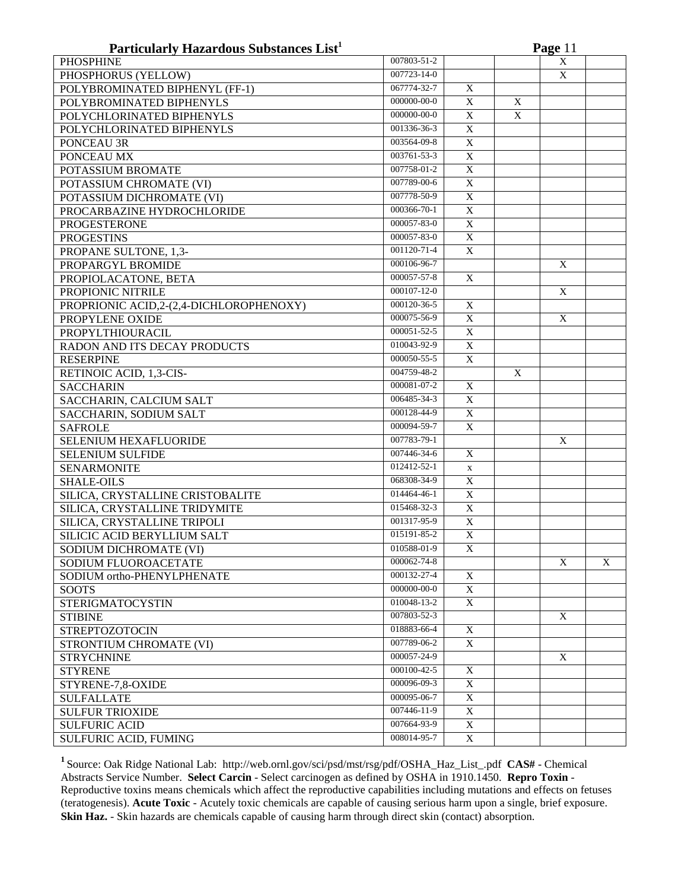| Particularly Hazardous Substances List <sup>1</sup> |                   |                |                | Page 11                   |   |
|-----------------------------------------------------|-------------------|----------------|----------------|---------------------------|---|
| <b>PHOSPHINE</b>                                    | 007803-51-2       |                |                | $\mathbf X$               |   |
| PHOSPHORUS (YELLOW)                                 | 007723-14-0       |                |                | $\mathbf X$               |   |
| POLYBROMINATED BIPHENYL (FF-1)                      | 067774-32-7       | X              |                |                           |   |
| POLYBROMINATED BIPHENYLS                            | $000000 - 00 - 0$ | $\overline{X}$ | X              |                           |   |
| POLYCHLORINATED BIPHENYLS                           | 000000-00-0       | X              | $\mathbf X$    |                           |   |
| POLYCHLORINATED BIPHENYLS                           | 001336-36-3       | X              |                |                           |   |
| PONCEAU 3R                                          | 003564-09-8       | $\mathbf X$    |                |                           |   |
| PONCEAU MX                                          | 003761-53-3       | $\mathbf X$    |                |                           |   |
| POTASSIUM BROMATE                                   | 007758-01-2       | $\mathbf X$    |                |                           |   |
| POTASSIUM CHROMATE (VI)                             | 007789-00-6       | $\mathbf X$    |                |                           |   |
| POTASSIUM DICHROMATE (VI)                           | 007778-50-9       | $\mathbf X$    |                |                           |   |
| PROCARBAZINE HYDROCHLORIDE                          | 000366-70-1       | $\mathbf X$    |                |                           |   |
| <b>PROGESTERONE</b>                                 | 000057-83-0       | $\mathbf X$    |                |                           |   |
| <b>PROGESTINS</b>                                   | 000057-83-0       | $\mathbf X$    |                |                           |   |
| PROPANE SULTONE, 1,3-                               | 001120-71-4       | X              |                |                           |   |
| PROPARGYL BROMIDE                                   | 000106-96-7       |                |                | $\mathbf X$               |   |
| PROPIOLACATONE, BETA                                | 000057-57-8       | $\mathbf X$    |                |                           |   |
| PROPIONIC NITRILE                                   | $000107 - 12 - 0$ |                |                | $\boldsymbol{\mathrm{X}}$ |   |
| PROPRIONIC ACID, 2-(2, 4-DICHLOROPHENOXY)           | 000120-36-5       | X              |                |                           |   |
| PROPYLENE OXIDE                                     | 000075-56-9       | X              |                | X                         |   |
| PROPYLTHIOURACIL                                    | 000051-52-5       | X              |                |                           |   |
| RADON AND ITS DECAY PRODUCTS                        | 010043-92-9       | $\overline{X}$ |                |                           |   |
| <b>RESERPINE</b>                                    | 000050-55-5       | $\overline{X}$ |                |                           |   |
| RETINOIC ACID, 1,3-CIS-                             | 004759-48-2       |                | $\overline{X}$ |                           |   |
| <b>SACCHARIN</b>                                    | 000081-07-2       | $\overline{X}$ |                |                           |   |
| SACCHARIN, CALCIUM SALT                             | 006485-34-3       | $\overline{X}$ |                |                           |   |
| SACCHARIN, SODIUM SALT                              | 000128-44-9       | $\overline{X}$ |                |                           |   |
| <b>SAFROLE</b>                                      | 000094-59-7       | $\mathbf X$    |                |                           |   |
| SELENIUM HEXAFLUORIDE                               | 007783-79-1       |                |                | $\mathbf X$               |   |
| <b>SELENIUM SULFIDE</b>                             | 007446-34-6       | $\overline{X}$ |                |                           |   |
| <b>SENARMONITE</b>                                  | 012412-52-1       | $\mathbf X$    |                |                           |   |
| <b>SHALE-OILS</b>                                   | 068308-34-9       | $\overline{X}$ |                |                           |   |
| SILICA, CRYSTALLINE CRISTOBALITE                    | 014464-46-1       | $\overline{X}$ |                |                           |   |
| SILICA, CRYSTALLINE TRIDYMITE                       | 015468-32-3       | $\overline{X}$ |                |                           |   |
| SILICA, CRYSTALLINE TRIPOLI                         | 001317-95-9       | $\overline{X}$ |                |                           |   |
| SILICIC ACID BERYLLIUM SALT                         | 015191-85-2       | $\overline{X}$ |                |                           |   |
| SODIUM DICHROMATE (VI)                              | 010588-01-9       | X              |                |                           |   |
| SODIUM FLUOROACETATE                                | 000062-74-8       |                |                | X                         | X |
| SODIUM ortho-PHENYLPHENATE                          | 000132-27-4       | X              |                |                           |   |
| <b>SOOTS</b>                                        | 000000-00-0       | X              |                |                           |   |
| <b>STERIGMATOCYSTIN</b>                             | 010048-13-2       | X              |                |                           |   |
| <b>STIBINE</b>                                      | 007803-52-3       |                |                | X                         |   |
| <b>STREPTOZOTOCIN</b>                               | 018883-66-4       | X              |                |                           |   |
| STRONTIUM CHROMATE (VI)                             | 007789-06-2       | $\mathbf X$    |                |                           |   |
| <b>STRYCHNINE</b>                                   | 000057-24-9       |                |                | X                         |   |
|                                                     | 000100-42-5       | X              |                |                           |   |
| <b>STYRENE</b>                                      | 000096-09-3       | $\mathbf X$    |                |                           |   |
| STYRENE-7,8-OXIDE                                   | 000095-06-7       | $\overline{X}$ |                |                           |   |
| <b>SULFALLATE</b>                                   | 007446-11-9       | $\overline{X}$ |                |                           |   |
| <b>SULFUR TRIOXIDE</b>                              | 007664-93-9       | $\overline{X}$ |                |                           |   |
| <b>SULFURIC ACID</b>                                |                   |                |                |                           |   |
| SULFURIC ACID, FUMING                               | 008014-95-7       | $\overline{X}$ |                |                           |   |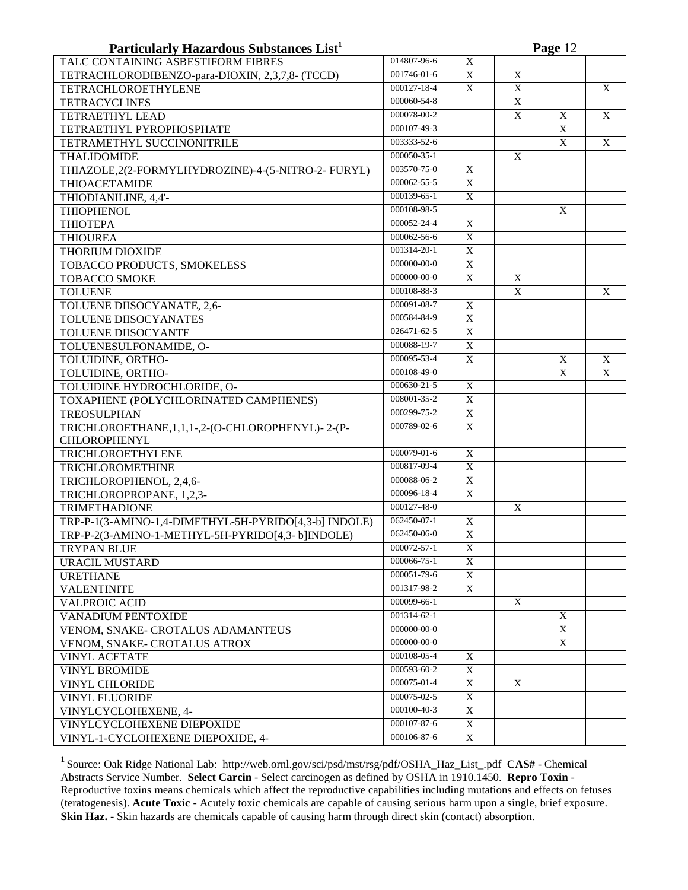| Particularly Hazardous Substances List <sup>1</sup>                         |                   |                |                           | Page 12        |   |
|-----------------------------------------------------------------------------|-------------------|----------------|---------------------------|----------------|---|
| TALC CONTAINING ASBESTIFORM FIBRES                                          | 014807-96-6       | X              |                           |                |   |
| TETRACHLORODIBENZO-para-DIOXIN, 2,3,7,8- (TCCD)                             | 001746-01-6       | $\mathbf X$    | X                         |                |   |
| TETRACHLOROETHYLENE                                                         | 000127-18-4       | X              | $\mathbf X$               |                | X |
| <b>TETRACYCLINES</b>                                                        | 000060-54-8       |                | $\mathbf X$               |                |   |
| TETRAETHYL LEAD                                                             | 000078-00-2       |                | $\boldsymbol{\mathrm{X}}$ | X              | X |
| TETRAETHYL PYROPHOSPHATE                                                    | 000107-49-3       |                |                           | X              |   |
| TETRAMETHYL SUCCINONITRILE                                                  | 003333-52-6       |                |                           | $\overline{X}$ | X |
| THALIDOMIDE                                                                 | 000050-35-1       |                | X                         |                |   |
| THIAZOLE,2(2-FORMYLHYDROZINE)-4-(5-NITRO-2- FURYL)                          | 003570-75-0       | X              |                           |                |   |
| <b>THIOACETAMIDE</b>                                                        | 000062-55-5       | X              |                           |                |   |
| THIODIANILINE, 4,4'-                                                        | 000139-65-1       | $\overline{X}$ |                           |                |   |
| <b>THIOPHENOL</b>                                                           | 000108-98-5       |                |                           | X              |   |
| <b>THIOTEPA</b>                                                             | $000052 - 24 - 4$ | X              |                           |                |   |
| <b>THIOUREA</b>                                                             | 000062-56-6       | $\mathbf X$    |                           |                |   |
| <b>THORIUM DIOXIDE</b>                                                      | $001314 - 20 - 1$ | $\mathbf X$    |                           |                |   |
| TOBACCO PRODUCTS, SMOKELESS                                                 | 000000-00-0       | $\overline{X}$ |                           |                |   |
| <b>TOBACCO SMOKE</b>                                                        | 000000-00-0       | $\overline{X}$ | $\overline{X}$            |                |   |
| <b>TOLUENE</b>                                                              | 000108-88-3       |                | $\overline{X}$            |                | X |
| TOLUENE DIISOCYANATE, 2,6-                                                  | 000091-08-7       | $\overline{X}$ |                           |                |   |
| TOLUENE DIISOCYANATES                                                       | 000584-84-9       | $\overline{X}$ |                           |                |   |
| TOLUENE DIISOCYANTE                                                         | 026471-62-5       | $\overline{X}$ |                           |                |   |
| TOLUENESULFONAMIDE, O-                                                      | 000088-19-7       | $\overline{X}$ |                           |                |   |
| TOLUIDINE, ORTHO-                                                           | 000095-53-4       | $\overline{X}$ |                           | X              | X |
| TOLUIDINE, ORTHO-                                                           | 000108-49-0       |                |                           | X              | X |
| TOLUIDINE HYDROCHLORIDE, O-                                                 | 000630-21-5       | $\mathbf X$    |                           |                |   |
| TOXAPHENE (POLYCHLORINATED CAMPHENES)                                       | 008001-35-2       | $\overline{X}$ |                           |                |   |
|                                                                             | 000299-75-2       | X              |                           |                |   |
| <b>TREOSULPHAN</b><br>TRICHLOROETHANE, 1, 1, 1-, 2-(O-CHLOROPHENYL) - 2-(P- | 000789-02-6       | $\mathbf X$    |                           |                |   |
| <b>CHLOROPHENYL</b>                                                         |                   |                |                           |                |   |
| TRICHLOROETHYLENE                                                           | 000079-01-6       | $\overline{X}$ |                           |                |   |
| TRICHLOROMETHINE                                                            | 000817-09-4       | $\overline{X}$ |                           |                |   |
| TRICHLOROPHENOL, 2,4,6-                                                     | 000088-06-2       | $\overline{X}$ |                           |                |   |
| TRICHLOROPROPANE, 1,2,3-                                                    | 000096-18-4       | $\overline{X}$ |                           |                |   |
| <b>TRIMETHADIONE</b>                                                        | 000127-48-0       |                | X                         |                |   |
| TRP-P-1(3-AMINO-1,4-DIMETHYL-5H-PYRIDO[4,3-b] INDOLE)                       | 062450-07-1       | X              |                           |                |   |
| TRP-P-2(3-AMINO-1-METHYL-5H-PYRIDO[4,3-b]INDOLE)                            | 062450-06-0       | $\overline{X}$ |                           |                |   |
|                                                                             | 000072-57-1       | X              |                           |                |   |
| <b>TRYPAN BLUE</b>                                                          | 000066-75-1       | X              |                           |                |   |
| URACIL MUSTARD                                                              | 000051-79-6       | X              |                           |                |   |
| <b>URETHANE</b>                                                             | 001317-98-2       | X              |                           |                |   |
| <b>VALENTINITE</b>                                                          | 000099-66-1       |                | $\mathbf{X}$              |                |   |
| <b>VALPROIC ACID</b>                                                        | 001314-62-1       |                |                           | X              |   |
| VANADIUM PENTOXIDE                                                          | 000000-00-0       |                |                           |                |   |
| VENOM, SNAKE- CROTALUS ADAMANTEUS                                           |                   |                |                           | X              |   |
| VENOM, SNAKE- CROTALUS ATROX                                                | $000000 - 00 - 0$ |                |                           | X              |   |
| <b>VINYL ACETATE</b>                                                        | 000108-05-4       | X              |                           |                |   |
| <b>VINYL BROMIDE</b>                                                        | 000593-60-2       | X              |                           |                |   |
| <b>VINYL CHLORIDE</b>                                                       | 000075-01-4       | X              | X                         |                |   |
| <b>VINYL FLUORIDE</b>                                                       | 000075-02-5       | X              |                           |                |   |
| VINYLCYCLOHEXENE, 4-                                                        | 000100-40-3       | X              |                           |                |   |
| VINYLCYCLOHEXENE DIEPOXIDE                                                  | 000107-87-6       | X              |                           |                |   |
| VINYL-1-CYCLOHEXENE DIEPOXIDE, 4-                                           | 000106-87-6       | X              |                           |                |   |